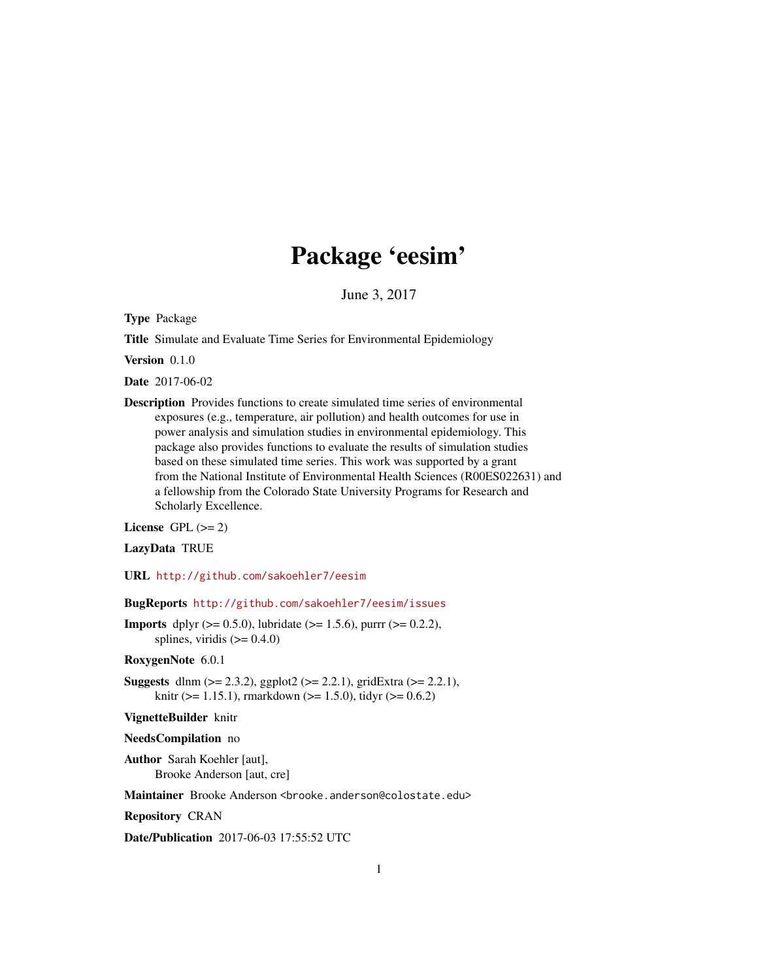## Package 'eesim'

June 3, 2017

Type Package

Title Simulate and Evaluate Time Series for Environmental Epidemiology

Version 0.1.0

Date 2017-06-02

Description Provides functions to create simulated time series of environmental exposures (e.g., temperature, air pollution) and health outcomes for use in power analysis and simulation studies in environmental epidemiology. This package also provides functions to evaluate the results of simulation studies based on these simulated time series. This work was supported by a grant from the National Institute of Environmental Health Sciences (R00ES022631) and a fellowship from the Colorado State University Programs for Research and Scholarly Excellence.

License GPL  $(>= 2)$ 

LazyData TRUE

URL <http://github.com/sakoehler7/eesim>

BugReports <http://github.com/sakoehler7/eesim/issues>

**Imports** dplyr ( $>= 0.5.0$ ), lubridate ( $>= 1.5.6$ ), purrr ( $>= 0.2.2$ ), splines, viridis  $(>= 0.4.0)$ 

RoxygenNote 6.0.1

**Suggests** dlnm  $(>= 2.3.2)$ , ggplot2  $(>= 2.2.1)$ , gridExtra  $(>= 2.2.1)$ , knitr ( $> = 1.15.1$ ), rmarkdown ( $> = 1.5.0$ ), tidyr ( $> = 0.6.2$ )

VignetteBuilder knitr

NeedsCompilation no

Author Sarah Koehler [aut], Brooke Anderson [aut, cre]

Maintainer Brooke Anderson <br />brooke.anderson@colostate.edu>

Repository CRAN

Date/Publication 2017-06-03 17:55:52 UTC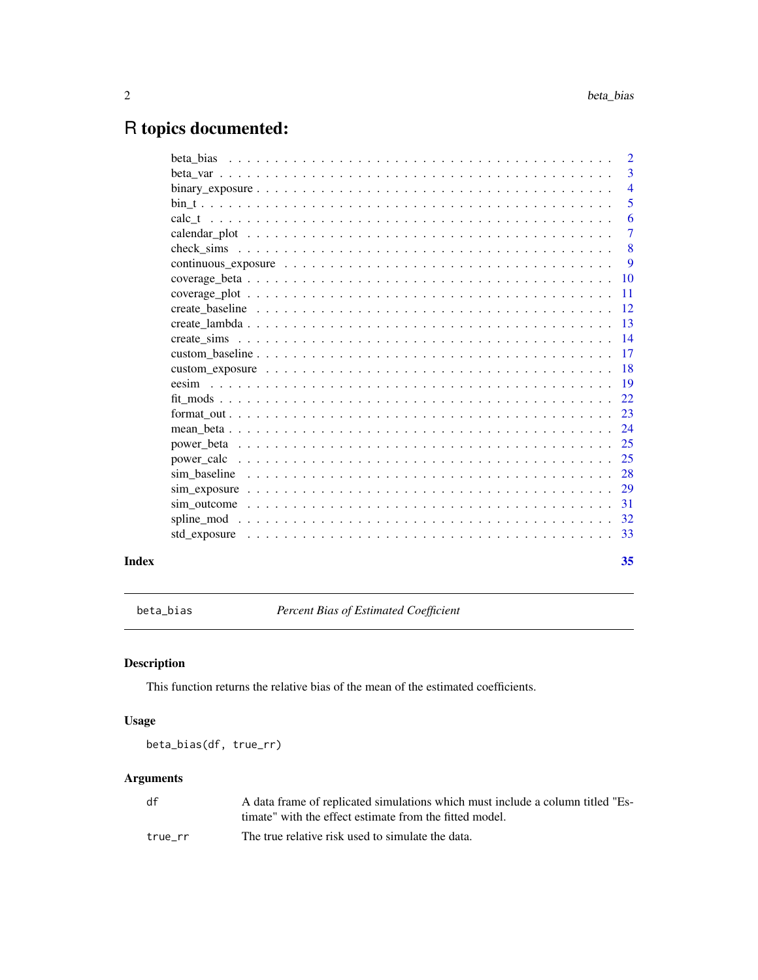### <span id="page-1-0"></span>R topics documented:

| Index | 35             |
|-------|----------------|
|       |                |
|       |                |
|       |                |
|       |                |
|       |                |
|       |                |
|       |                |
|       |                |
|       |                |
|       |                |
|       |                |
|       |                |
|       |                |
|       |                |
|       |                |
|       |                |
|       | -11            |
|       |                |
|       | 9              |
|       | $\sqrt{8}$     |
|       | $\overline{7}$ |
|       | 6              |
|       | 5              |
|       | $\overline{4}$ |
|       | $\overline{3}$ |
|       | $\overline{2}$ |

<span id="page-1-1"></span>beta\_bias *Percent Bias of Estimated Coefficient*

#### Description

This function returns the relative bias of the mean of the estimated coefficients.

#### Usage

beta\_bias(df, true\_rr)

| df      | A data frame of replicated simulations which must include a column titled "Es- |
|---------|--------------------------------------------------------------------------------|
|         | timate" with the effect estimate from the fitted model.                        |
| true rr | The true relative risk used to simulate the data.                              |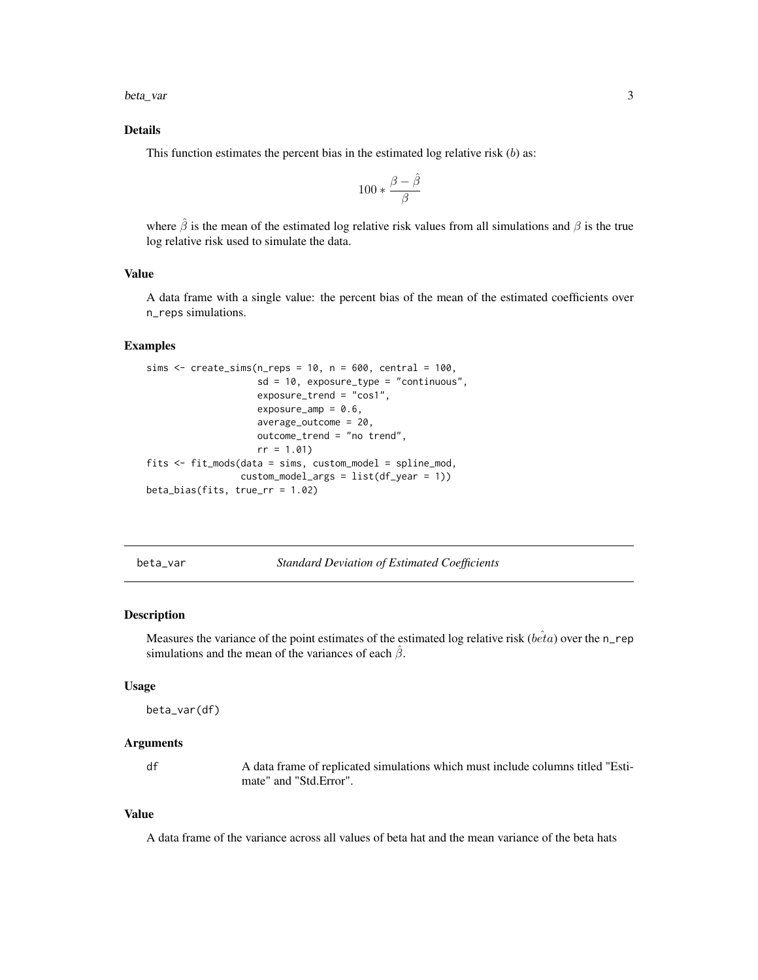<span id="page-2-0"></span>beta\_var 3

#### Details

This function estimates the percent bias in the estimated log relative risk  $(b)$  as:

$$
100 * \frac{\beta - \hat{\beta}}{\beta}
$$

where  $\hat{\beta}$  is the mean of the estimated log relative risk values from all simulations and  $\beta$  is the true log relative risk used to simulate the data.

#### Value

A data frame with a single value: the percent bias of the mean of the estimated coefficients over n\_reps simulations.

#### Examples

```
sims \le create_sims(n_reps = 10, n = 600, central = 100,
                    sd = 10, exposure_type = "continuous",
                    exposure_trend = "cos1",
                    exposure_amp = 0.6,
                    average_outcome = 20,
                    outcome_trend = "no trend",
                    rr = 1.01fits <- fit_mods(data = sims, custom_model = spline_mod,
                 custom_model_args = list(df_year = 1))
beta_bias(fits, true_rr = 1.02)
```
<span id="page-2-1"></span>beta\_var *Standard Deviation of Estimated Coefficients*

#### Description

Measures the variance of the point estimates of the estimated log relative risk ( $b\hat{e}ta$ ) over the n\_rep simulations and the mean of the variances of each  $\hat{\beta}$ .

#### Usage

```
beta_var(df)
```
#### Arguments

df A data frame of replicated simulations which must include columns titled "Estimate" and "Std.Error".

#### Value

A data frame of the variance across all values of beta hat and the mean variance of the beta hats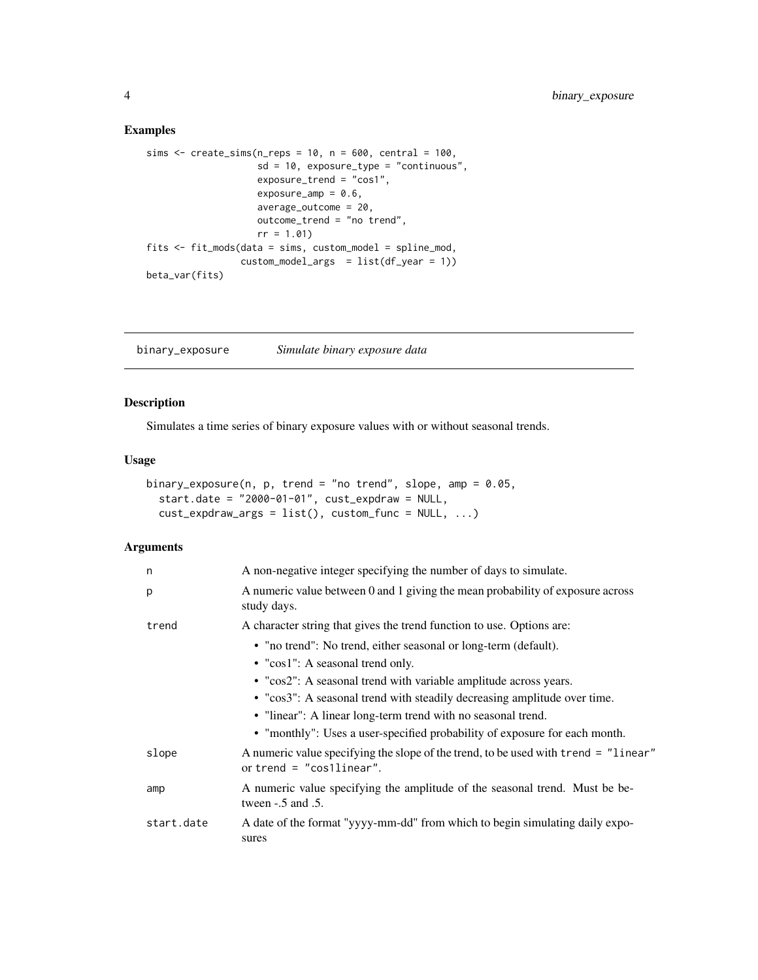#### Examples

```
sims \le create_sims(n_reps = 10, n = 600, central = 100,
                   sd = 10, exposure_type = "continuous",
                    exposure_trend = "cos1",
                    exposure_amp = 0.6,
                    average_outcome = 20,
                    outcome_trend = "no trend",
                    rr = 1.01fits <- fit_mods(data = sims, custom_model = spline_mod,
                 custom_model_{args} = list(df_{year} = 1))
beta_var(fits)
```
binary\_exposure *Simulate binary exposure data*

#### Description

Simulates a time series of binary exposure values with or without seasonal trends.

#### Usage

```
binary_exposure(n, p, trend = "no trend", slope, amp = 0.05,
  start.date = "2000-01-01", cust_expdraw = NULL,
 cust_expdraw_args = list(), custom_func = NULL, ...)
```

| n          | A non-negative integer specifying the number of days to simulate.                                                 |
|------------|-------------------------------------------------------------------------------------------------------------------|
| p          | A numeric value between 0 and 1 giving the mean probability of exposure across<br>study days.                     |
| trend      | A character string that gives the trend function to use. Options are:                                             |
|            | • "no trend": No trend, either seasonal or long-term (default).<br>$\bullet$ "cos1": A seasonal trend only.       |
|            | • "cos2": A seasonal trend with variable amplitude across years.                                                  |
|            | • "cos3": A seasonal trend with steadily decreasing amplitude over time.                                          |
|            | • "linear": A linear long-term trend with no seasonal trend.                                                      |
|            | • "monthly": Uses a user-specified probability of exposure for each month.                                        |
| slope      | A numeric value specifying the slope of the trend, to be used with trend = "linear"<br>or trend $=$ "cosllinear". |
| amp        | A numeric value specifying the amplitude of the seasonal trend. Must be be-<br>tween $-.5$ and $.5$ .             |
| start.date | A date of the format "yyyy-mm-dd" from which to begin simulating daily expo-<br>sures                             |

<span id="page-3-0"></span>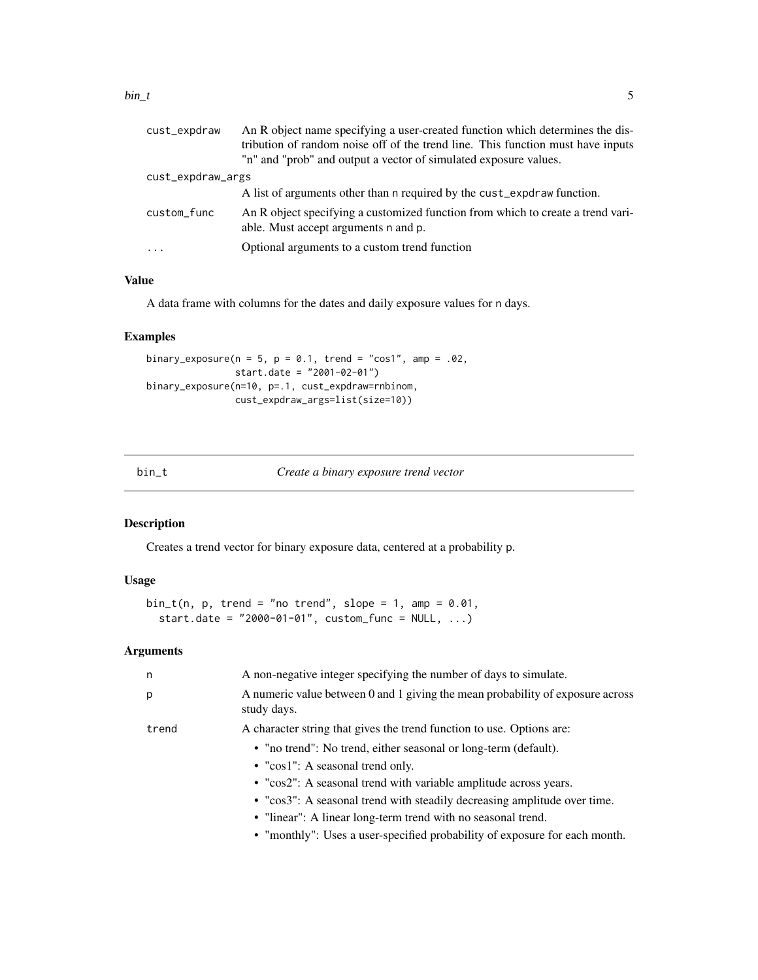#### <span id="page-4-0"></span> $bin\_t$  5

| cust_expdraw      | An R object name specifying a user-created function which determines the dis-<br>tribution of random noise off of the trend line. This function must have inputs |
|-------------------|------------------------------------------------------------------------------------------------------------------------------------------------------------------|
|                   | "n" and "prob" and output a vector of simulated exposure values.                                                                                                 |
| cust_expdraw_args |                                                                                                                                                                  |
|                   | A list of arguments other than a required by the cust_expdraw function.                                                                                          |
| custom_func       | An R object specifying a customized function from which to create a trend vari-<br>able. Must accept arguments n and p.                                          |
| $\cdots$          | Optional arguments to a custom trend function                                                                                                                    |
|                   |                                                                                                                                                                  |

#### Value

A data frame with columns for the dates and daily exposure values for n days.

#### Examples

```
binary_exposure(n = 5, p = 0.1, trend = "cos1", amp = .02,
                start.date = "2001-02-01")
binary_exposure(n=10, p=.1, cust_expdraw=rnbinom,
                cust_expdraw_args=list(size=10))
```

| bın |  |  |  |
|-----|--|--|--|
|-----|--|--|--|

bin\_t *Create a binary exposure trend vector*

#### Description

Creates a trend vector for binary exposure data, centered at a probability p.

#### Usage

```
bin_t(n, p, trend = "no trend", slope = 1, amp = 0.01,start.date = "2000-01-01", custom_func = NULL, ...)
```

| n     | A non-negative integer specifying the number of days to simulate.                             |
|-------|-----------------------------------------------------------------------------------------------|
| p     | A numeric value between 0 and 1 giving the mean probability of exposure across<br>study days. |
| trend | A character string that gives the trend function to use. Options are:                         |
|       | • "no trend": No trend, either seasonal or long-term (default).                               |
|       | • " $\cos 1$ ": A seasonal trend only.                                                        |
|       | • "cos2": A seasonal trend with variable amplitude across years.                              |
|       | • "cos3": A seasonal trend with steadily decreasing amplitude over time.                      |
|       | • "linear": A linear long-term trend with no seasonal trend.                                  |
|       | • "monthly": Uses a user-specified probability of exposure for each month.                    |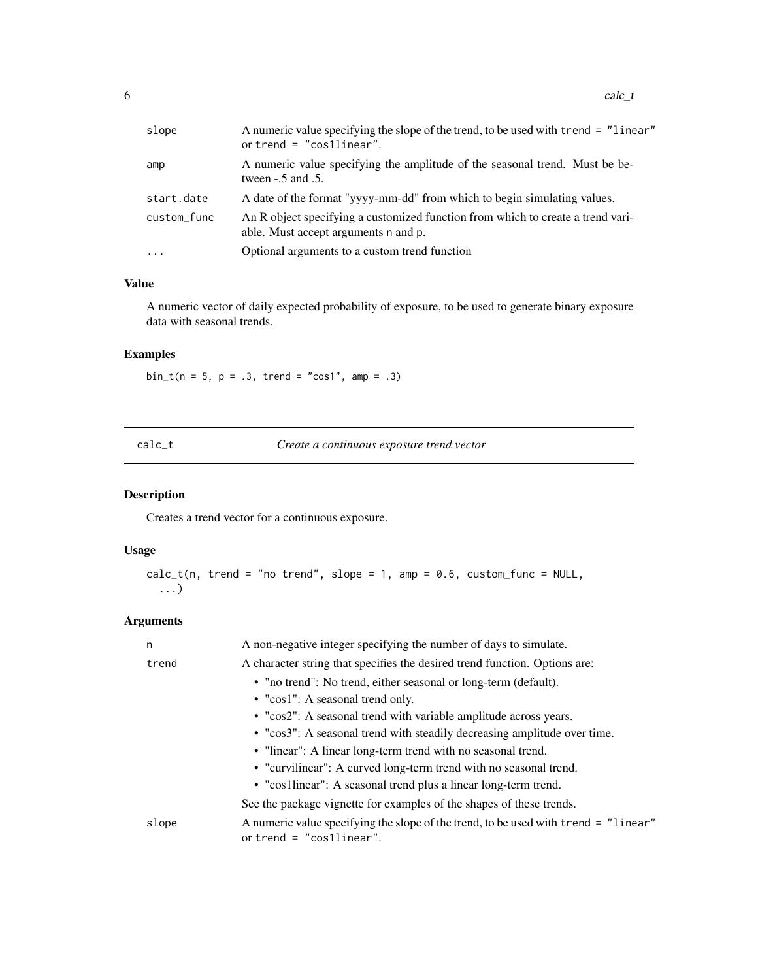<span id="page-5-0"></span> $6$  calc\_t

| slope       | A numeric value specifying the slope of the trend, to be used with trend = "linear"<br>or trend $=$ "cos1linear".       |
|-------------|-------------------------------------------------------------------------------------------------------------------------|
| amp         | A numeric value specifying the amplitude of the seasonal trend. Must be be-<br>tween $-.5$ and $.5$ .                   |
| start.date  | A date of the format "yyyy-mm-dd" from which to begin simulating values.                                                |
| custom_func | An R object specifying a customized function from which to create a trend vari-<br>able. Must accept arguments n and p. |
| $\cdot$     | Optional arguments to a custom trend function                                                                           |

#### Value

A numeric vector of daily expected probability of exposure, to be used to generate binary exposure data with seasonal trends.

### Examples

 $bin_t(n = 5, p = .3, trend = "cos1", amp = .3)$ 

calc\_t *Create a continuous exposure trend vector*

#### Description

Creates a trend vector for a continuous exposure.

#### Usage

```
calc_t(n, trend = "no trend", slope = 1, amp = 0.6, custom_function = NULL,...)
```

| n     | A non-negative integer specifying the number of days to simulate.                                                 |
|-------|-------------------------------------------------------------------------------------------------------------------|
| trend | A character string that specifies the desired trend function. Options are:                                        |
|       | • "no trend": No trend, either seasonal or long-term (default).                                                   |
|       | • "cos1": A seasonal trend only.                                                                                  |
|       | • "cos2": A seasonal trend with variable amplitude across years.                                                  |
|       | • "cos3": A seasonal trend with steadily decreasing amplitude over time.                                          |
|       | • "linear": A linear long-term trend with no seasonal trend.                                                      |
|       | • "curvilinear": A curved long-term trend with no seasonal trend.                                                 |
|       | • "cos1linear": A seasonal trend plus a linear long-term trend.                                                   |
|       | See the package vignette for examples of the shapes of these trends.                                              |
| slope | A numeric value specifying the slope of the trend, to be used with trend = "linear"<br>or trend $=$ "cosilinear". |
|       |                                                                                                                   |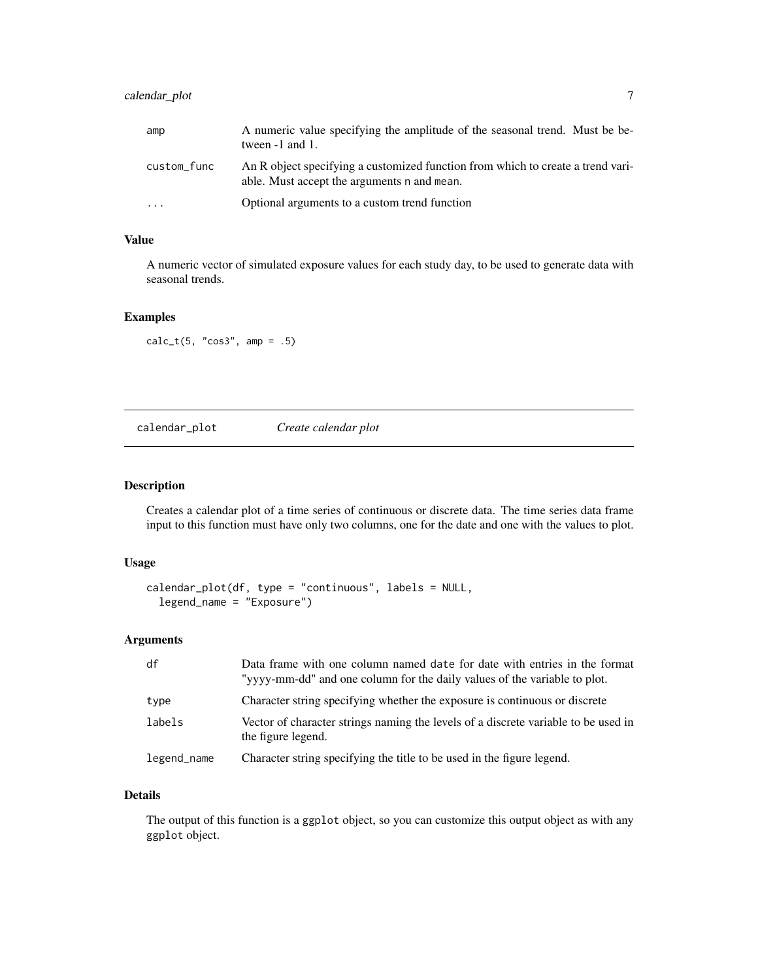#### <span id="page-6-0"></span>calendar\_plot 7

| amp         | A numeric value specifying the amplitude of the seasonal trend. Must be be-<br>tween $-1$ and $1$ .                            |
|-------------|--------------------------------------------------------------------------------------------------------------------------------|
| custom_func | An R object specifying a customized function from which to create a trend vari-<br>able. Must accept the arguments n and mean. |
| $\cdot$     | Optional arguments to a custom trend function                                                                                  |

#### Value

A numeric vector of simulated exposure values for each study day, to be used to generate data with seasonal trends.

#### Examples

 $calc_t(5, "cos3", amp = .5)$ 

calendar\_plot *Create calendar plot*

#### Description

Creates a calendar plot of a time series of continuous or discrete data. The time series data frame input to this function must have only two columns, one for the date and one with the values to plot.

#### Usage

```
calendar_plot(df, type = "continuous", labels = NULL,
  legend_name = "Exposure")
```
#### Arguments

| df          | Data frame with one column named date for date with entries in the format<br>"yyyy-mm-dd" and one column for the daily values of the variable to plot. |
|-------------|--------------------------------------------------------------------------------------------------------------------------------------------------------|
| type        | Character string specifying whether the exposure is continuous or discrete                                                                             |
| labels      | Vector of character strings naming the levels of a discrete variable to be used in<br>the figure legend.                                               |
| legend_name | Character string specifying the title to be used in the figure legend.                                                                                 |

### Details

The output of this function is a ggplot object, so you can customize this output object as with any ggplot object.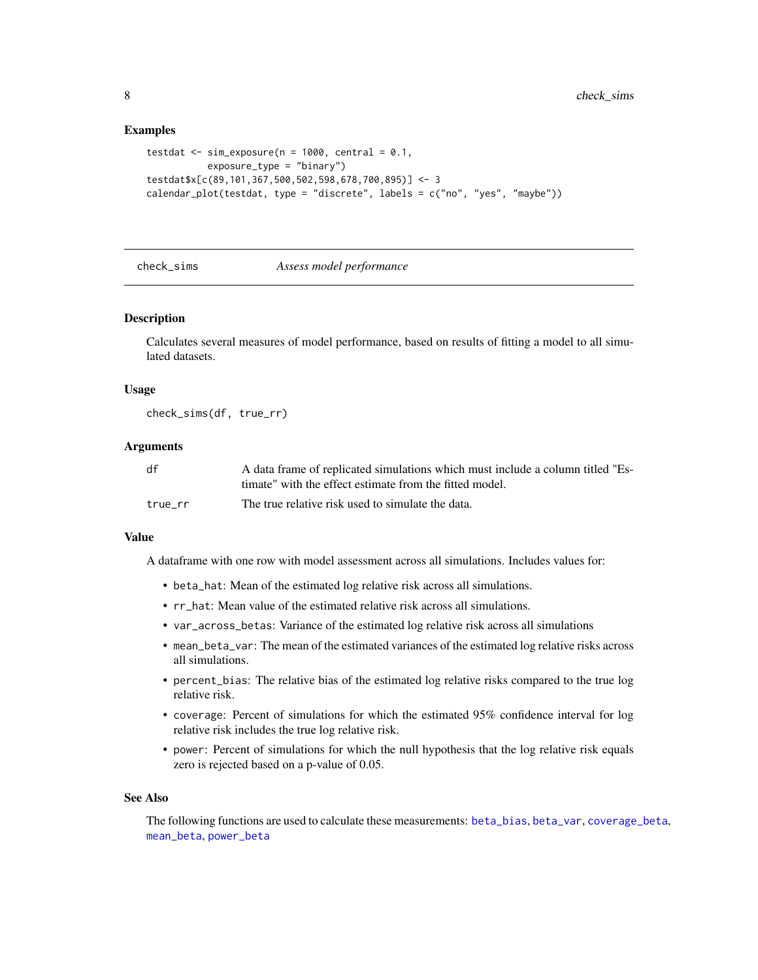#### Examples

```
testdat \le sim_exposure(n = 1000, central = 0.1,
           exposure_type = "binary")
testdat$x[c(89,101,367,500,502,598,678,700,895)] <- 3
calendar_plot(testdat, type = "discrete", labels = c("no", "yes", "maybe"))
```
<span id="page-7-1"></span>

#### check\_sims *Assess model performance*

#### Description

Calculates several measures of model performance, based on results of fitting a model to all simulated datasets.

#### Usage

check\_sims(df, true\_rr)

#### Arguments

| df      | A data frame of replicated simulations which must include a column titled "Es- |
|---------|--------------------------------------------------------------------------------|
|         | timate" with the effect estimate from the fitted model.                        |
| true rr | The true relative risk used to simulate the data.                              |

#### Value

A dataframe with one row with model assessment across all simulations. Includes values for:

- beta\_hat: Mean of the estimated log relative risk across all simulations.
- rr\_hat: Mean value of the estimated relative risk across all simulations.
- var\_across\_betas: Variance of the estimated log relative risk across all simulations
- mean\_beta\_var: The mean of the estimated variances of the estimated log relative risks across all simulations.
- percent\_bias: The relative bias of the estimated log relative risks compared to the true log relative risk.
- coverage: Percent of simulations for which the estimated 95% confidence interval for log relative risk includes the true log relative risk.
- power: Percent of simulations for which the null hypothesis that the log relative risk equals zero is rejected based on a p-value of 0.05.

#### See Also

The following functions are used to calculate these measurements: [beta\\_bias](#page-1-1), [beta\\_var](#page-2-1), [coverage\\_beta](#page-9-1), [mean\\_beta](#page-23-1), [power\\_beta](#page-24-1)

<span id="page-7-0"></span>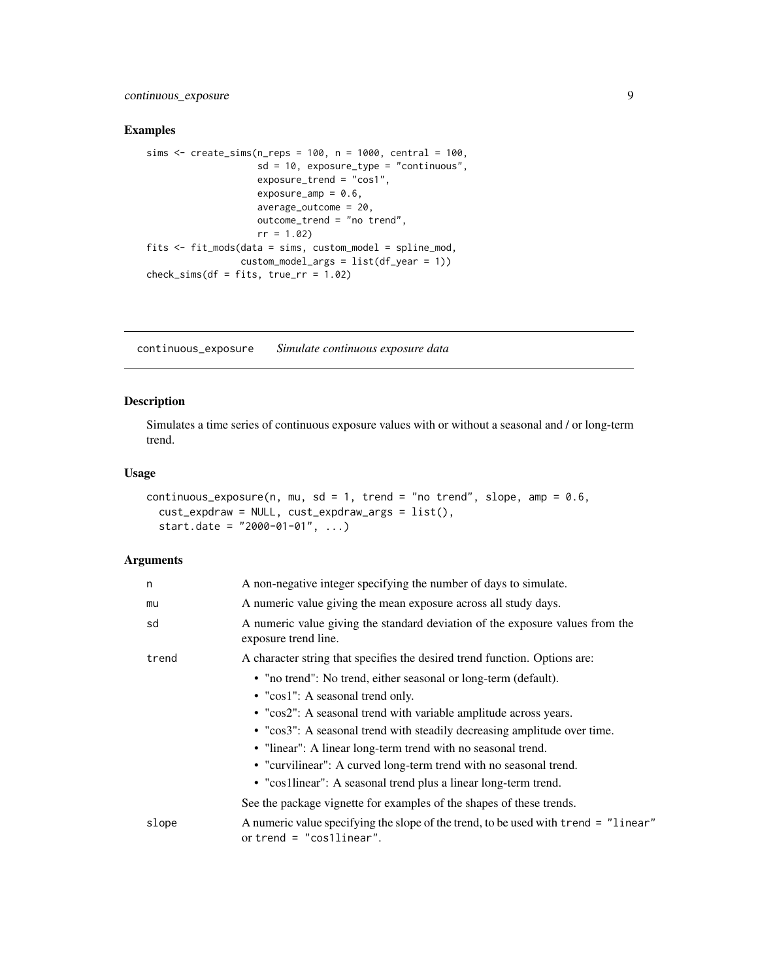<span id="page-8-0"></span>continuous\_exposure 9

#### Examples

```
sims <- create_sims(n_reps = 100, n = 1000, central = 100,
                   sd = 10, exposure_type = "continuous",
                   exposure_trend = "cos1",
                   exposure_amp = 0.6,
                   average_outcome = 20,
                   outcome_trend = "no trend",
                   rr = 1.02fits <- fit_mods(data = sims, custom_model = spline_mod,
                 custom_model_args = list(df_year = 1))
check_sims(df = fits, truerr = 1.02)
```
continuous\_exposure *Simulate continuous exposure data*

#### Description

Simulates a time series of continuous exposure values with or without a seasonal and / or long-term trend.

#### Usage

```
continuous_exposure(n, mu, sd = 1, trend = "no trend", slope, amp = 0.6,
 cust_expdraw = NULL, cust_expdraw_args = list(),
  start.date = "2000-01-01", ...
```

| n     | A non-negative integer specifying the number of days to simulate.                                                 |
|-------|-------------------------------------------------------------------------------------------------------------------|
| mu    | A numeric value giving the mean exposure across all study days.                                                   |
| sd    | A numeric value giving the standard deviation of the exposure values from the<br>exposure trend line.             |
| trend | A character string that specifies the desired trend function. Options are:                                        |
|       | • "no trend": No trend, either seasonal or long-term (default).                                                   |
|       | • "cos1": A seasonal trend only.                                                                                  |
|       | • "cos2": A seasonal trend with variable amplitude across years.                                                  |
|       | • "cos3": A seasonal trend with steadily decreasing amplitude over time.                                          |
|       | • "linear": A linear long-term trend with no seasonal trend.                                                      |
|       | • "curvilinear": A curved long-term trend with no seasonal trend.                                                 |
|       | • "cos1linear": A seasonal trend plus a linear long-term trend.                                                   |
|       | See the package vignette for examples of the shapes of these trends.                                              |
| slope | A numeric value specifying the slope of the trend, to be used with trend = "linear"<br>or trend $=$ "cos1linear". |
|       |                                                                                                                   |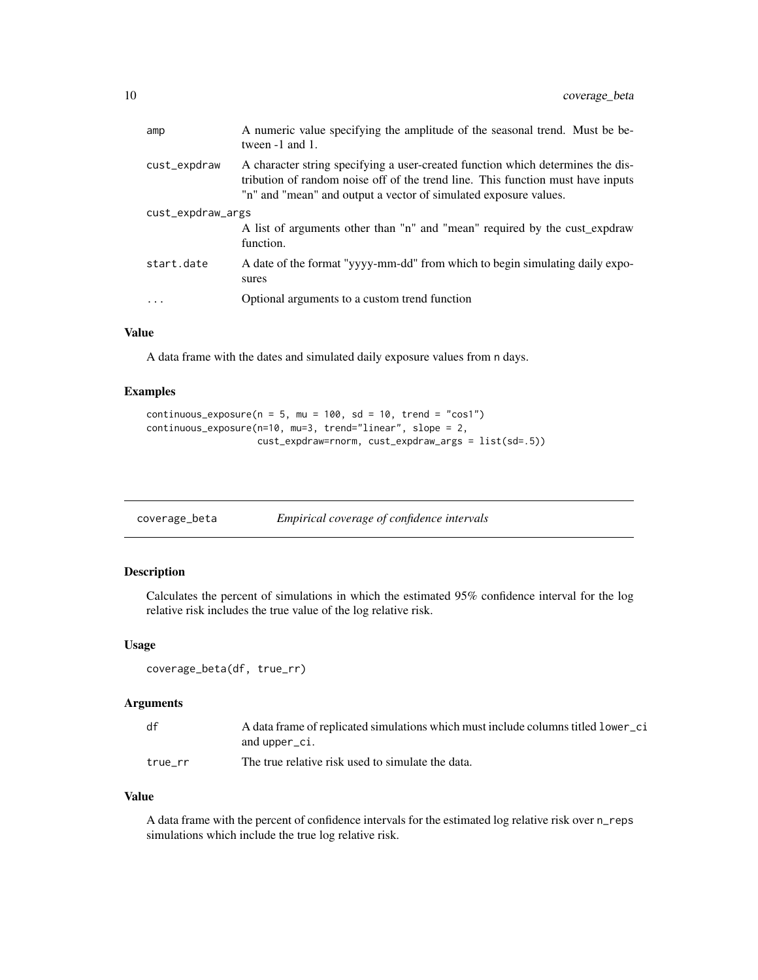<span id="page-9-0"></span>

| amp               | A numeric value specifying the amplitude of the seasonal trend. Must be be-<br>tween -1 and 1.                                                                                                                                         |  |
|-------------------|----------------------------------------------------------------------------------------------------------------------------------------------------------------------------------------------------------------------------------------|--|
| cust_expdraw      | A character string specifying a user-created function which determines the dis-<br>tribution of random noise off of the trend line. This function must have inputs<br>"n" and "mean" and output a vector of simulated exposure values. |  |
| cust_expdraw_args |                                                                                                                                                                                                                                        |  |
|                   | A list of arguments other than "n" and "mean" required by the cust_expdraw<br>function.                                                                                                                                                |  |
| start.date        | A date of the format "yyyy-mm-dd" from which to begin simulating daily expo-<br>sures                                                                                                                                                  |  |
| .                 | Optional arguments to a custom trend function                                                                                                                                                                                          |  |

#### Value

A data frame with the dates and simulated daily exposure values from n days.

#### Examples

```
continuous_exposure(n = 5, mu = 100, sd = 10, trend = "cos1")
continuous_exposure(n=10, mu=3, trend="linear", slope = 2,
                   cust_expdraw=rnorm, cust_expdraw_args = list(sd=.5))
```
<span id="page-9-1"></span>

| coverage_beta |  | Empirical coverage of confidence intervals |
|---------------|--|--------------------------------------------|
|---------------|--|--------------------------------------------|

#### Description

Calculates the percent of simulations in which the estimated 95% confidence interval for the log relative risk includes the true value of the log relative risk.

#### Usage

```
coverage_beta(df, true_rr)
```
#### Arguments

| df      | A data frame of replicated simulations which must include columns titled lower ci |
|---------|-----------------------------------------------------------------------------------|
|         | and upper_ci.                                                                     |
| true rr | The true relative risk used to simulate the data.                                 |

#### Value

A data frame with the percent of confidence intervals for the estimated log relative risk over n\_reps simulations which include the true log relative risk.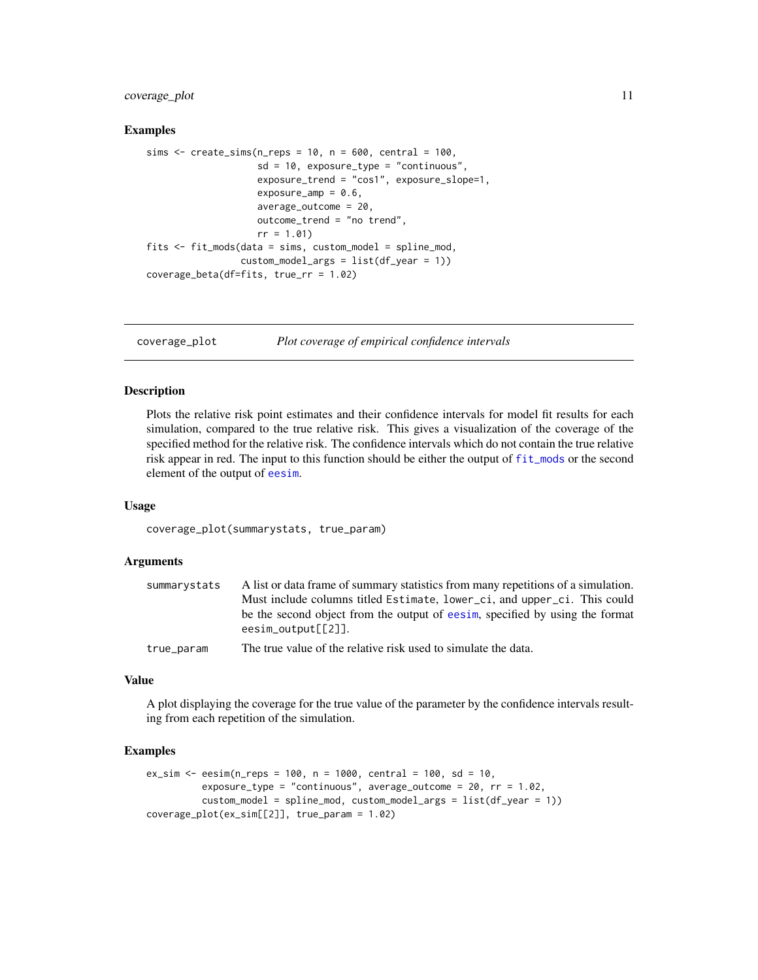#### <span id="page-10-0"></span>coverage\_plot 11

#### Examples

```
sims \le create_sims(n_reps = 10, n = 600, central = 100,
                    sd = 10, exposure_type = "continuous",exposure_trend = "cos1", exposure_slope=1,
                    exposure_amp = 0.6,
                    average_outcome = 20,
                    outcome_trend = "no trend",
                    rr = 1.01fits <- fit_mods(data = sims, custom_model = spline_mod,
                 custom_model_{args} = list(df_{year} = 1))
coverage_beta(df=fits, true_rr = 1.02)
```
coverage\_plot *Plot coverage of empirical confidence intervals*

#### Description

Plots the relative risk point estimates and their confidence intervals for model fit results for each simulation, compared to the true relative risk. This gives a visualization of the coverage of the specified method for the relative risk. The confidence intervals which do not contain the true relative risk appear in red. The input to this function should be either the output of [fit\\_mods](#page-21-1) or the second element of the output of [eesim](#page-18-1).

#### Usage

coverage\_plot(summarystats, true\_param)

#### **Arguments**

| summarystats | A list or data frame of summary statistics from many repetitions of a simulation.                   |
|--------------|-----------------------------------------------------------------------------------------------------|
|              | Must include columns titled Estimate, lower_ci, and upper_ci. This could                            |
|              | be the second object from the output of eesim, specified by using the format<br>$eesim_output[2]$ . |
| true_param   | The true value of the relative risk used to simulate the data.                                      |

#### Value

A plot displaying the coverage for the true value of the parameter by the confidence intervals resulting from each repetition of the simulation.

```
ex\_sim < -eesim(n\_reps = 100, n = 1000, central = 100, sd = 10,exposure_type = "continuous", average_outcome = 20, rr = 1.02,
          custom_model = spline_mod, custom_model_args = list(df_year = 1))
coverage_plot(ex_sim[[2]], true_param = 1.02)
```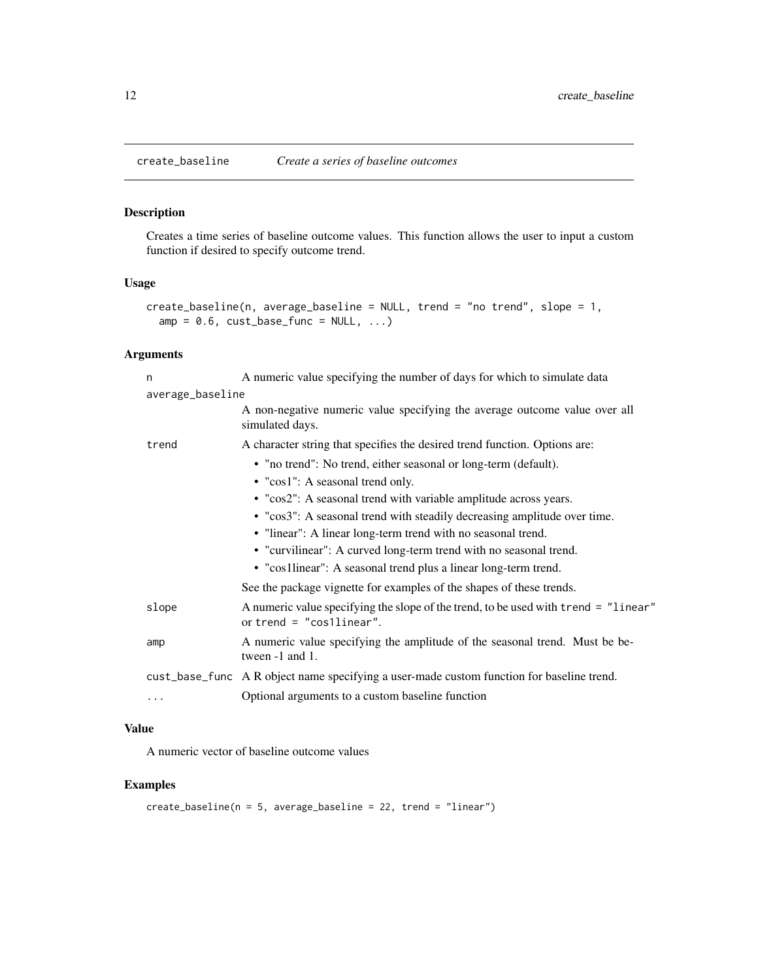<span id="page-11-1"></span><span id="page-11-0"></span>

Creates a time series of baseline outcome values. This function allows the user to input a custom function if desired to specify outcome trend.

#### Usage

```
create_baseline(n, average_baseline = NULL, trend = "no trend", slope = 1,
  amp = 0.6, cust_base_func = NULL, ...)
```
#### Arguments

| n                | A numeric value specifying the number of days for which to simulate data                                          |
|------------------|-------------------------------------------------------------------------------------------------------------------|
| average_baseline |                                                                                                                   |
|                  | A non-negative numeric value specifying the average outcome value over all<br>simulated days.                     |
| trend            | A character string that specifies the desired trend function. Options are:                                        |
|                  | • "no trend": No trend, either seasonal or long-term (default).                                                   |
|                  | • "cos1": A seasonal trend only.                                                                                  |
|                  | • "cos2": A seasonal trend with variable amplitude across years.                                                  |
|                  | • "cos3": A seasonal trend with steadily decreasing amplitude over time.                                          |
|                  | • "linear": A linear long-term trend with no seasonal trend.                                                      |
|                  | • "curvilinear": A curved long-term trend with no seasonal trend.                                                 |
|                  | • "cos1linear": A seasonal trend plus a linear long-term trend.                                                   |
|                  | See the package vignette for examples of the shapes of these trends.                                              |
| slope            | A numeric value specifying the slope of the trend, to be used with trend = "linear"<br>or trend = $"cos1linear".$ |
| amp              | A numeric value specifying the amplitude of the seasonal trend. Must be be-<br>tween -1 and 1.                    |
|                  | cust_base_func A R object name specifying a user-made custom function for baseline trend.                         |
| .                | Optional arguments to a custom baseline function                                                                  |
|                  |                                                                                                                   |

#### Value

A numeric vector of baseline outcome values

```
create_baseline(n = 5, average_baseline = 22, trend = "linear")
```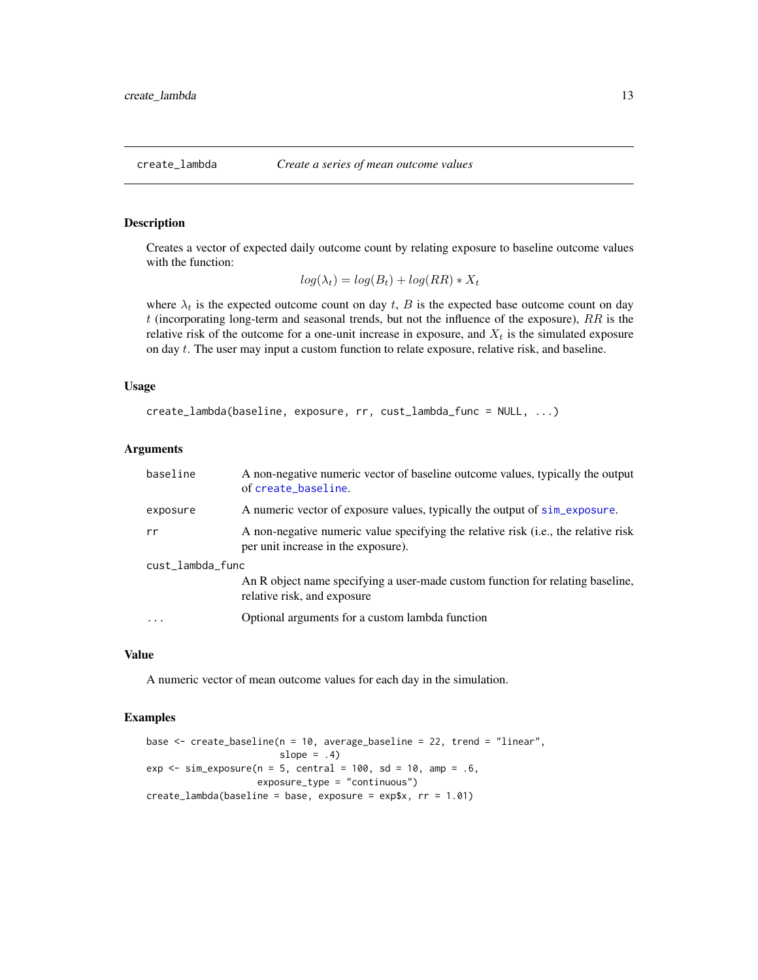<span id="page-12-0"></span>

Creates a vector of expected daily outcome count by relating exposure to baseline outcome values with the function:

$$
log(\lambda_t) = log(B_t) + log(RR) * X_t
$$

where  $\lambda_t$  is the expected outcome count on day t, B is the expected base outcome count on day  $t$  (incorporating long-term and seasonal trends, but not the influence of the exposure),  $RR$  is the relative risk of the outcome for a one-unit increase in exposure, and  $X_t$  is the simulated exposure on day t. The user may input a custom function to relate exposure, relative risk, and baseline.

#### Usage

```
create_lambda(baseline, exposure, rr, cust_lambda_func = NULL, ...)
```
#### Arguments

| baseline         | A non-negative numeric vector of baseline outcome values, typically the output<br>of create_baseline.                     |  |
|------------------|---------------------------------------------------------------------------------------------------------------------------|--|
| exposure         | A numeric vector of exposure values, typically the output of sim_exposure.                                                |  |
| rr               | A non-negative numeric value specifying the relative risk (i.e., the relative risk<br>per unit increase in the exposure). |  |
| cust_lambda_func |                                                                                                                           |  |
|                  | An R object name specifying a user-made custom function for relating baseline,<br>relative risk, and exposure             |  |
| $\ddotsc$        | Optional arguments for a custom lambda function                                                                           |  |
|                  |                                                                                                                           |  |

#### Value

A numeric vector of mean outcome values for each day in the simulation.

```
base <- create_baseline(n = 10, average_baseline = 22, trend = "linear",
                        slope = .4)
exp \le sim_exposure(n = 5, central = 100, sd = 10, amp = .6,
                    exposure_type = "continuous")
create_lambda(baseline = base, exposure = exp$x, rr = 1.01)
```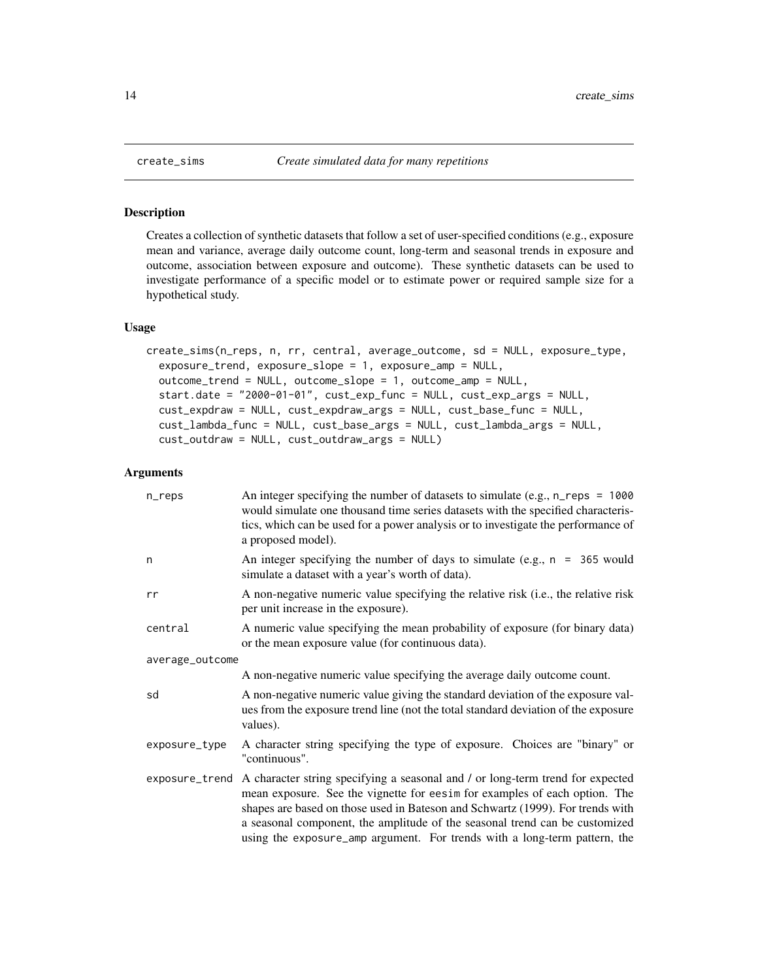Creates a collection of synthetic datasets that follow a set of user-specified conditions (e.g., exposure mean and variance, average daily outcome count, long-term and seasonal trends in exposure and outcome, association between exposure and outcome). These synthetic datasets can be used to investigate performance of a specific model or to estimate power or required sample size for a hypothetical study.

#### Usage

```
create_sims(n_reps, n, rr, central, average_outcome, sd = NULL, exposure_type,
  exposure_trend, exposure_slope = 1, exposure_amp = NULL,
  outcome_trend = NULL, outcome_slope = 1, outcome_amp = NULL,
  start.date = "2000-01-01", cust_exp_func = NULL, cust_exp_args = NULL,
  cust_expdraw = NULL, cust_expdraw_args = NULL, cust_base_func = NULL,
  cust_lambda_func = NULL, cust_base_args = NULL, cust_lambda_args = NULL,
  cust_outdraw = NULL, cust_outdraw_args = NULL)
```

| n_reps          | An integer specifying the number of datasets to simulate (e.g., $n_{res} = 1000$<br>would simulate one thousand time series datasets with the specified characteris-<br>tics, which can be used for a power analysis or to investigate the performance of<br>a proposed model).                                                                                                                            |
|-----------------|------------------------------------------------------------------------------------------------------------------------------------------------------------------------------------------------------------------------------------------------------------------------------------------------------------------------------------------------------------------------------------------------------------|
| n               | An integer specifying the number of days to simulate (e.g., $n = 365$ would<br>simulate a dataset with a year's worth of data).                                                                                                                                                                                                                                                                            |
| rr              | A non-negative numeric value specifying the relative risk (i.e., the relative risk<br>per unit increase in the exposure).                                                                                                                                                                                                                                                                                  |
| central         | A numeric value specifying the mean probability of exposure (for binary data)<br>or the mean exposure value (for continuous data).                                                                                                                                                                                                                                                                         |
| average_outcome |                                                                                                                                                                                                                                                                                                                                                                                                            |
|                 | A non-negative numeric value specifying the average daily outcome count.                                                                                                                                                                                                                                                                                                                                   |
| sd              | A non-negative numeric value giving the standard deviation of the exposure val-<br>ues from the exposure trend line (not the total standard deviation of the exposure<br>values).                                                                                                                                                                                                                          |
| exposure_type   | A character string specifying the type of exposure. Choices are "binary" or<br>"continuous".                                                                                                                                                                                                                                                                                                               |
| exposure_trend  | A character string specifying a seasonal and / or long-term trend for expected<br>mean exposure. See the vignette for eesim for examples of each option. The<br>shapes are based on those used in Bateson and Schwartz (1999). For trends with<br>a seasonal component, the amplitude of the seasonal trend can be customized<br>using the exposure_amp argument. For trends with a long-term pattern, the |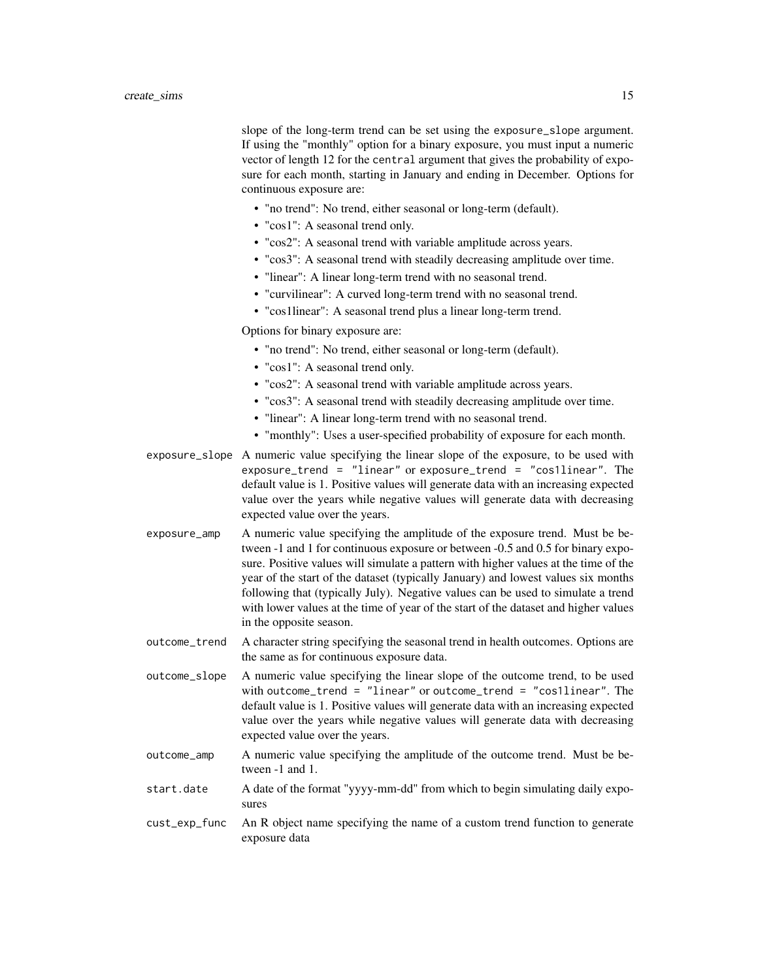slope of the long-term trend can be set using the exposure\_slope argument. If using the "monthly" option for a binary exposure, you must input a numeric vector of length 12 for the central argument that gives the probability of exposure for each month, starting in January and ending in December. Options for continuous exposure are:

- "no trend": No trend, either seasonal or long-term (default).
- "cos1": A seasonal trend only.
- "cos2": A seasonal trend with variable amplitude across years.
- "cos3": A seasonal trend with steadily decreasing amplitude over time.
- "linear": A linear long-term trend with no seasonal trend.
- "curvilinear": A curved long-term trend with no seasonal trend.
- "cos1linear": A seasonal trend plus a linear long-term trend.

Options for binary exposure are:

- "no trend": No trend, either seasonal or long-term (default).
- "cos1": A seasonal trend only.
- "cos2": A seasonal trend with variable amplitude across years.
- "cos3": A seasonal trend with steadily decreasing amplitude over time.
- "linear": A linear long-term trend with no seasonal trend.
- "monthly": Uses a user-specified probability of exposure for each month.
- exposure\_slope A numeric value specifying the linear slope of the exposure, to be used with exposure\_trend = "linear" or exposure\_trend = "cos1linear". The default value is 1. Positive values will generate data with an increasing expected value over the years while negative values will generate data with decreasing expected value over the years.
- exposure\_amp A numeric value specifying the amplitude of the exposure trend. Must be between -1 and 1 for continuous exposure or between -0.5 and 0.5 for binary exposure. Positive values will simulate a pattern with higher values at the time of the year of the start of the dataset (typically January) and lowest values six months following that (typically July). Negative values can be used to simulate a trend with lower values at the time of year of the start of the dataset and higher values in the opposite season.
- outcome\_trend A character string specifying the seasonal trend in health outcomes. Options are the same as for continuous exposure data.

outcome\_slope A numeric value specifying the linear slope of the outcome trend, to be used with outcome\_trend = "linear" or outcome\_trend = "cos1linear". The default value is 1. Positive values will generate data with an increasing expected value over the years while negative values will generate data with decreasing expected value over the years.

- outcome\_amp A numeric value specifying the amplitude of the outcome trend. Must be between -1 and 1.
- start.date A date of the format "yyyy-mm-dd" from which to begin simulating daily exposures
- cust\_exp\_func An R object name specifying the name of a custom trend function to generate exposure data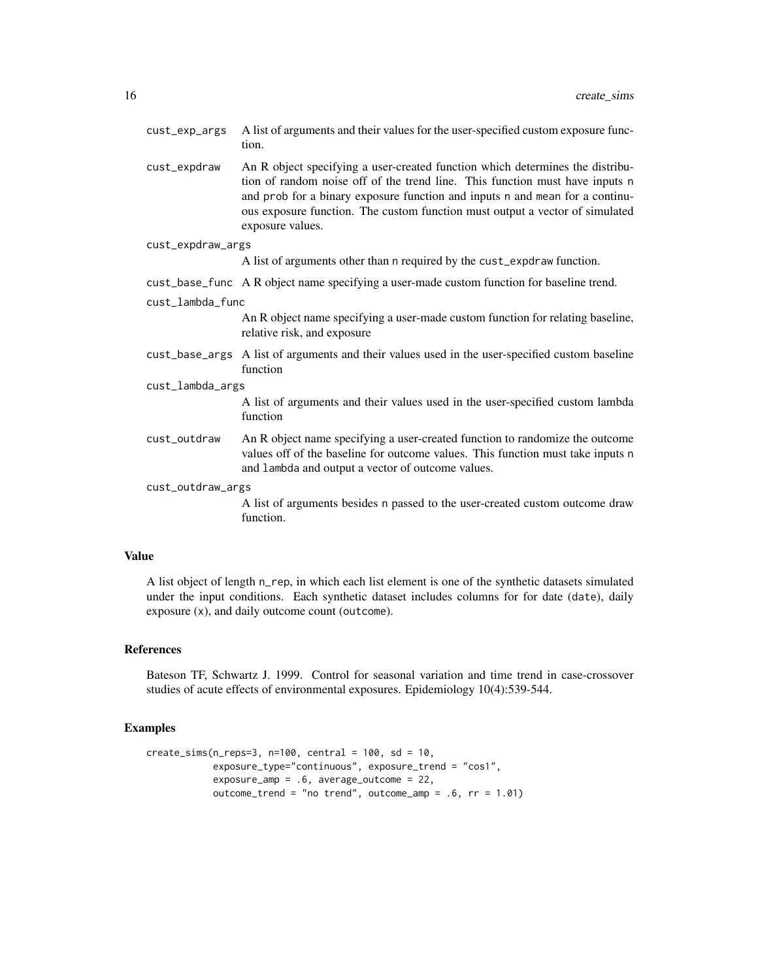| cust_exp_args     | A list of arguments and their values for the user-specified custom exposure func-<br>tion.                                                                                                                                                                                                                                                        |  |
|-------------------|---------------------------------------------------------------------------------------------------------------------------------------------------------------------------------------------------------------------------------------------------------------------------------------------------------------------------------------------------|--|
| cust_expdraw      | An R object specifying a user-created function which determines the distribu-<br>tion of random noise off of the trend line. This function must have inputs n<br>and prob for a binary exposure function and inputs n and mean for a continu-<br>ous exposure function. The custom function must output a vector of simulated<br>exposure values. |  |
| cust_expdraw_args |                                                                                                                                                                                                                                                                                                                                                   |  |
|                   | A list of arguments other than n required by the cust_expdraw function.                                                                                                                                                                                                                                                                           |  |
|                   | cust_base_func A R object name specifying a user-made custom function for baseline trend.                                                                                                                                                                                                                                                         |  |
| cust_lambda_func  |                                                                                                                                                                                                                                                                                                                                                   |  |
|                   | An R object name specifying a user-made custom function for relating baseline,<br>relative risk, and exposure                                                                                                                                                                                                                                     |  |
|                   | cust_base_args A list of arguments and their values used in the user-specified custom baseline<br>function                                                                                                                                                                                                                                        |  |
| cust_lambda_args  |                                                                                                                                                                                                                                                                                                                                                   |  |
|                   | A list of arguments and their values used in the user-specified custom lambda<br>function                                                                                                                                                                                                                                                         |  |
| cust_outdraw      | An R object name specifying a user-created function to randomize the outcome<br>values off of the baseline for outcome values. This function must take inputs n<br>and lambda and output a vector of outcome values.                                                                                                                              |  |
| cust_outdraw_args |                                                                                                                                                                                                                                                                                                                                                   |  |
|                   | A list of arguments besides n passed to the user-created custom outcome draw<br>function.                                                                                                                                                                                                                                                         |  |

### Value

A list object of length n\_rep, in which each list element is one of the synthetic datasets simulated under the input conditions. Each synthetic dataset includes columns for for date (date), daily exposure (x), and daily outcome count (outcome).

#### References

Bateson TF, Schwartz J. 1999. Control for seasonal variation and time trend in case-crossover studies of acute effects of environmental exposures. Epidemiology 10(4):539-544.

```
create_sims(n_reps=3, n=100, central = 100, sd = 10,
            exposure_type="continuous", exposure_trend = "cos1",
            exposure_amp = .6, average_outcome = 22,
            outcome_trend = "no trend", outcome_amp = .6, rr = 1.01)
```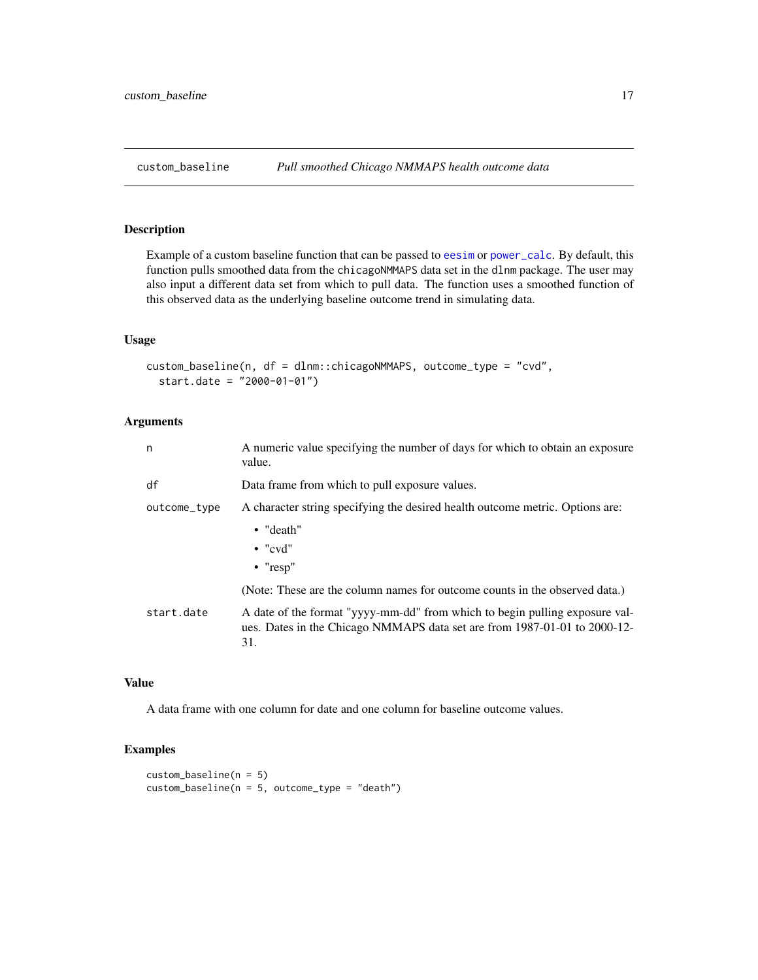<span id="page-16-0"></span>Example of a custom baseline function that can be passed to [eesim](#page-18-1) or [power\\_calc](#page-24-2). By default, this function pulls smoothed data from the chicagoNMMAPS data set in the dlnm package. The user may also input a different data set from which to pull data. The function uses a smoothed function of this observed data as the underlying baseline outcome trend in simulating data.

#### Usage

```
custom_baseline(n, df = dlnm::chicagoNMMAPS, outcome_type = "cvd",
  start.date = "2000-01-01")
```
#### Arguments

| n            | A numeric value specifying the number of days for which to obtain an exposure<br>value.                                                                         |
|--------------|-----------------------------------------------------------------------------------------------------------------------------------------------------------------|
| df           | Data frame from which to pull exposure values.                                                                                                                  |
| outcome_type | A character string specifying the desired health outcome metric. Options are:                                                                                   |
|              | $\bullet$ "death"<br>$\bullet$ "cvd"<br>$\bullet$ "resp"                                                                                                        |
|              | (Note: These are the column names for outcome counts in the observed data.)                                                                                     |
| start.date   | A date of the format "yyyy-mm-dd" from which to begin pulling exposure val-<br>ues. Dates in the Chicago NMMAPS data set are from 1987-01-01 to 2000-12-<br>31. |

#### Value

A data frame with one column for date and one column for baseline outcome values.

```
custom_baseline(n = 5)
custom_baseline(n = 5, outcome_type = "death")
```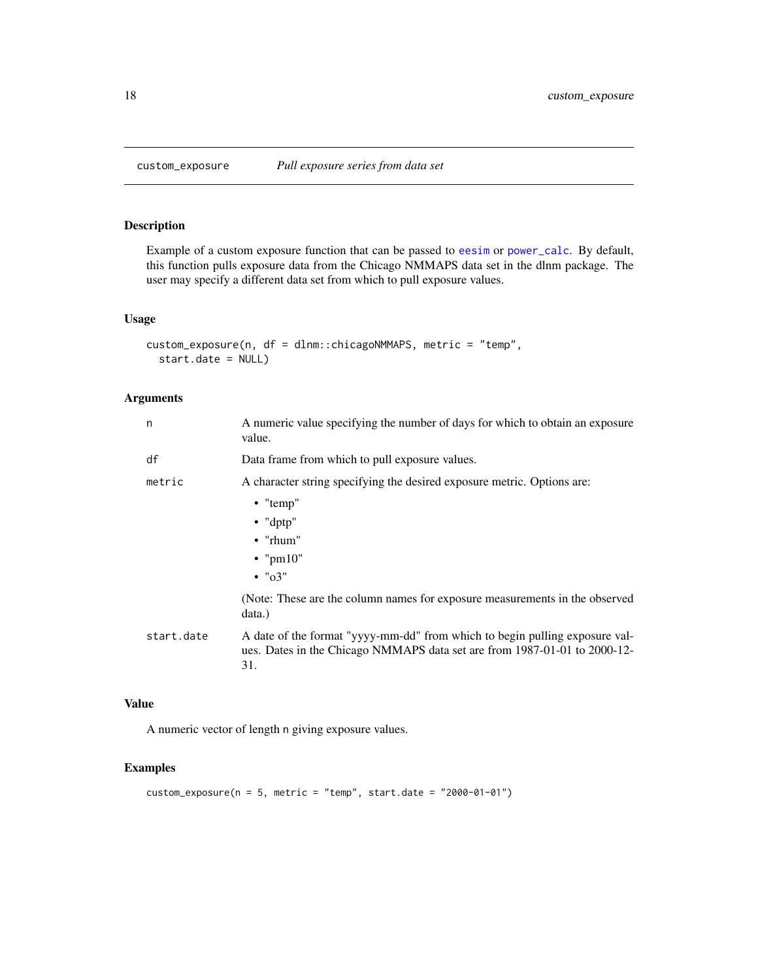<span id="page-17-0"></span>

Example of a custom exposure function that can be passed to [eesim](#page-18-1) or [power\\_calc](#page-24-2). By default, this function pulls exposure data from the Chicago NMMAPS data set in the dlnm package. The user may specify a different data set from which to pull exposure values.

#### Usage

```
custom_exposure(n, df = dlnm::chicagoNMMAPS, metric = "temp",
  start.date = NULL)
```
#### Arguments

| n          | A numeric value specifying the number of days for which to obtain an exposure<br>value.                                                                         |
|------------|-----------------------------------------------------------------------------------------------------------------------------------------------------------------|
| df         | Data frame from which to pull exposure values.                                                                                                                  |
| metric     | A character string specifying the desired exposure metric. Options are:                                                                                         |
|            | $\bullet$ "temp"                                                                                                                                                |
|            | $\bullet$ "dptp"                                                                                                                                                |
|            | $\bullet$ "rhum"                                                                                                                                                |
|            | $\bullet$ "pm10"                                                                                                                                                |
|            | $\cdot$ " $\sigma$ 3"                                                                                                                                           |
|            | (Note: These are the column names for exposure measurements in the observed<br>data.)                                                                           |
| start.date | A date of the format "yyyy-mm-dd" from which to begin pulling exposure val-<br>ues. Dates in the Chicago NMMAPS data set are from 1987-01-01 to 2000-12-<br>31. |

#### Value

A numeric vector of length n giving exposure values.

```
custom\_expasure(n = 5, metric = "temp", start.date = "2000-01-01")
```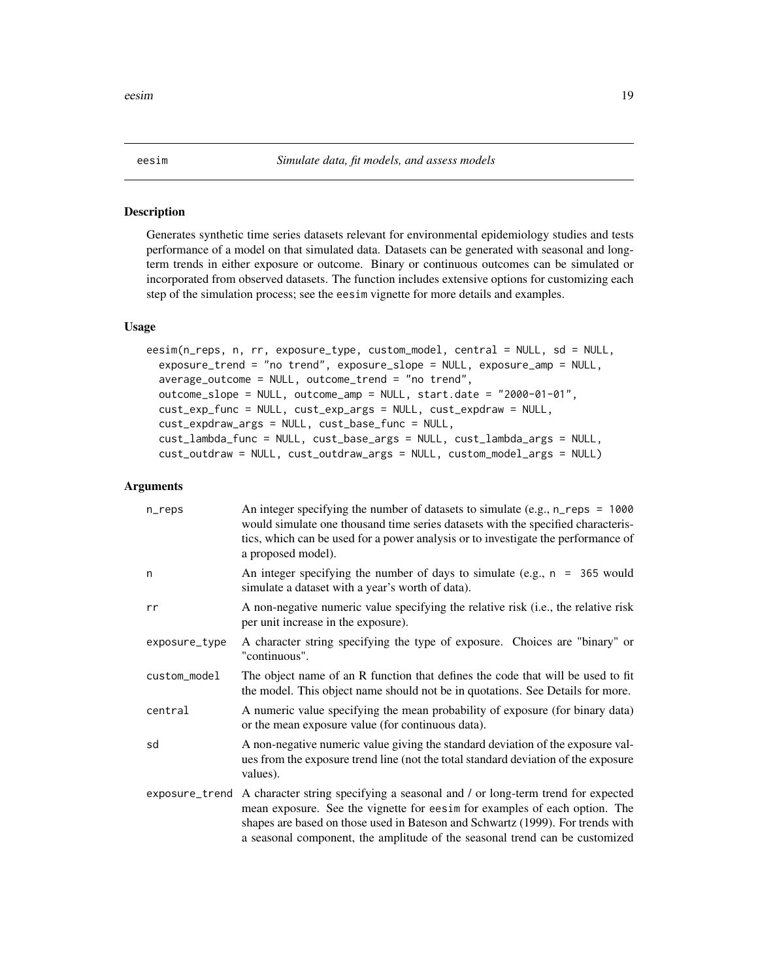<span id="page-18-1"></span><span id="page-18-0"></span>

Generates synthetic time series datasets relevant for environmental epidemiology studies and tests performance of a model on that simulated data. Datasets can be generated with seasonal and longterm trends in either exposure or outcome. Binary or continuous outcomes can be simulated or incorporated from observed datasets. The function includes extensive options for customizing each step of the simulation process; see the eesim vignette for more details and examples.

#### Usage

```
eesim(n_reps, n, rr, exposure_type, custom_model, central = NULL, sd = NULL,
  exposure_trend = "no trend", exposure_slope = NULL, exposure_amp = NULL,
  average_outcome = NULL, outcome_trend = "no trend",
 outcome_slope = NULL, outcome_amp = NULL, start.date = "2000-01-01",
  cust_exp_func = NULL, cust_exp_args = NULL, cust_expdraw = NULL,
  cust_expdraw_args = NULL, cust_base_func = NULL,
  cust_lambda_func = NULL, cust_base_args = NULL, cust_lambda_args = NULL,
  cust_outdraw = NULL, cust_outdraw_args = NULL, custom_model_args = NULL)
```

| n_reps        | An integer specifying the number of datasets to simulate (e.g., $n_{res} = 1000$<br>would simulate one thousand time series datasets with the specified characteris-<br>tics, which can be used for a power analysis or to investigate the performance of<br>a proposed model).                                                              |
|---------------|----------------------------------------------------------------------------------------------------------------------------------------------------------------------------------------------------------------------------------------------------------------------------------------------------------------------------------------------|
| n             | An integer specifying the number of days to simulate (e.g., $n = 365$ would<br>simulate a dataset with a year's worth of data).                                                                                                                                                                                                              |
| rr            | A non-negative numeric value specifying the relative risk (i.e., the relative risk<br>per unit increase in the exposure).                                                                                                                                                                                                                    |
| exposure_type | A character string specifying the type of exposure. Choices are "binary" or<br>"continuous".                                                                                                                                                                                                                                                 |
| custom_model  | The object name of an R function that defines the code that will be used to fit<br>the model. This object name should not be in quotations. See Details for more.                                                                                                                                                                            |
| central       | A numeric value specifying the mean probability of exposure (for binary data)<br>or the mean exposure value (for continuous data).                                                                                                                                                                                                           |
| sd            | A non-negative numeric value giving the standard deviation of the exposure val-<br>ues from the exposure trend line (not the total standard deviation of the exposure<br>values).                                                                                                                                                            |
|               | exposure_trend A character string specifying a seasonal and / or long-term trend for expected<br>mean exposure. See the vignette for eesim for examples of each option. The<br>shapes are based on those used in Bateson and Schwartz (1999). For trends with<br>a seasonal component, the amplitude of the seasonal trend can be customized |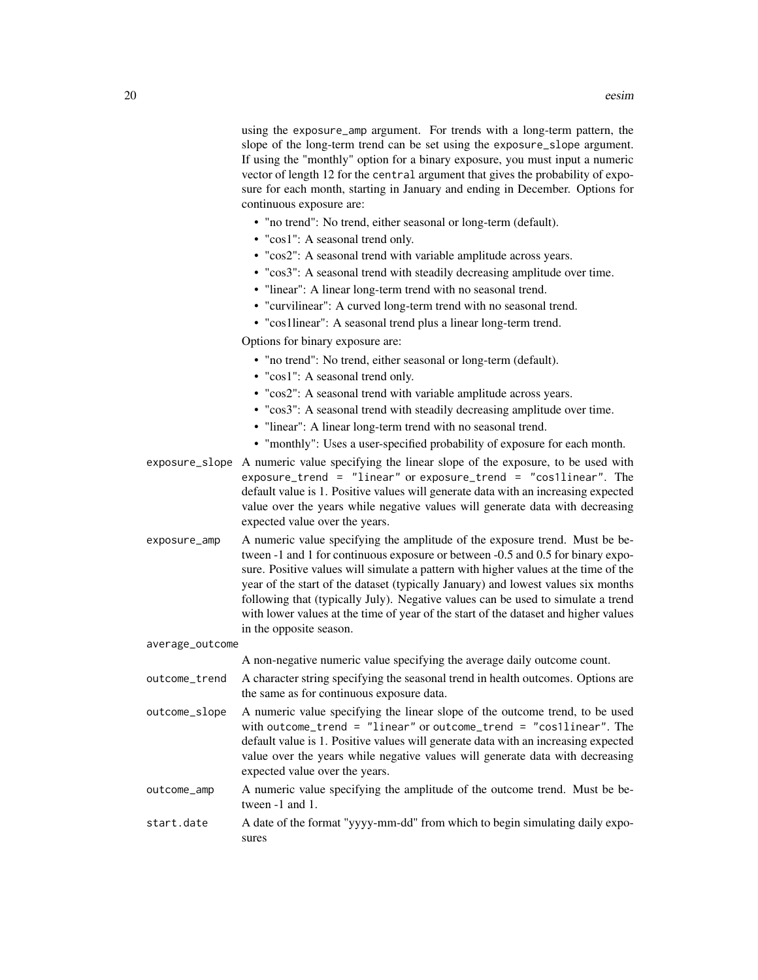using the exposure\_amp argument. For trends with a long-term pattern, the slope of the long-term trend can be set using the exposure\_slope argument. If using the "monthly" option for a binary exposure, you must input a numeric vector of length 12 for the central argument that gives the probability of exposure for each month, starting in January and ending in December. Options for continuous exposure are:

- "no trend": No trend, either seasonal or long-term (default).
- "cos1": A seasonal trend only.
- "cos2": A seasonal trend with variable amplitude across years.
- "cos3": A seasonal trend with steadily decreasing amplitude over time.
- "linear": A linear long-term trend with no seasonal trend.
- "curvilinear": A curved long-term trend with no seasonal trend.
- "cos1linear": A seasonal trend plus a linear long-term trend.

Options for binary exposure are:

- "no trend": No trend, either seasonal or long-term (default).
- "cos1": A seasonal trend only.
- "cos2": A seasonal trend with variable amplitude across years.
- "cos3": A seasonal trend with steadily decreasing amplitude over time.
- "linear": A linear long-term trend with no seasonal trend.
- "monthly": Uses a user-specified probability of exposure for each month.

exposure\_slope A numeric value specifying the linear slope of the exposure, to be used with exposure\_trend = "linear" or exposure\_trend = "cos1linear". The default value is 1. Positive values will generate data with an increasing expected value over the years while negative values will generate data with decreasing expected value over the years.

exposure\_amp A numeric value specifying the amplitude of the exposure trend. Must be between -1 and 1 for continuous exposure or between -0.5 and 0.5 for binary exposure. Positive values will simulate a pattern with higher values at the time of the year of the start of the dataset (typically January) and lowest values six months following that (typically July). Negative values can be used to simulate a trend with lower values at the time of year of the start of the dataset and higher values in the opposite season.

average\_outcome

A non-negative numeric value specifying the average daily outcome count.

- outcome\_trend A character string specifying the seasonal trend in health outcomes. Options are the same as for continuous exposure data.
- outcome\_slope A numeric value specifying the linear slope of the outcome trend, to be used with outcome\_trend = "linear" or outcome\_trend = "cos1linear". The default value is 1. Positive values will generate data with an increasing expected value over the years while negative values will generate data with decreasing expected value over the years.
- outcome\_amp A numeric value specifying the amplitude of the outcome trend. Must be between -1 and 1.
- start.date A date of the format "yyyy-mm-dd" from which to begin simulating daily exposures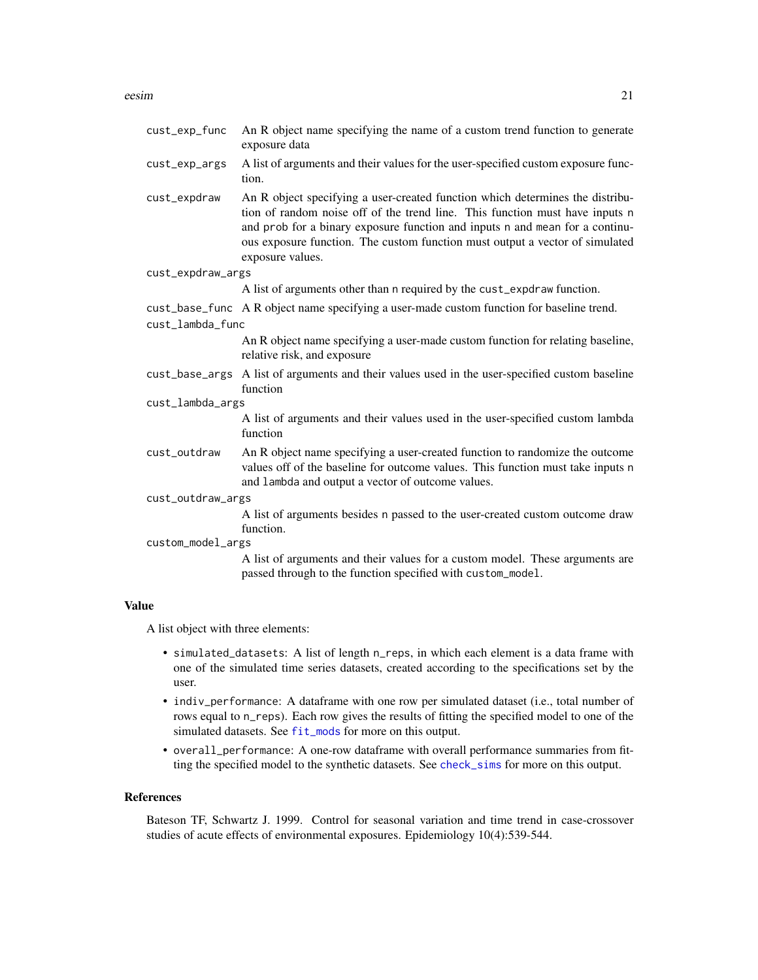<span id="page-20-0"></span>

| cust_exp_func     | An R object name specifying the name of a custom trend function to generate<br>exposure data                                                                                                                                                                                                                                                      |  |
|-------------------|---------------------------------------------------------------------------------------------------------------------------------------------------------------------------------------------------------------------------------------------------------------------------------------------------------------------------------------------------|--|
| cust_exp_args     | A list of arguments and their values for the user-specified custom exposure func-<br>tion.                                                                                                                                                                                                                                                        |  |
| cust_expdraw      | An R object specifying a user-created function which determines the distribu-<br>tion of random noise off of the trend line. This function must have inputs n<br>and prob for a binary exposure function and inputs n and mean for a continu-<br>ous exposure function. The custom function must output a vector of simulated<br>exposure values. |  |
| cust_expdraw_args |                                                                                                                                                                                                                                                                                                                                                   |  |
|                   | A list of arguments other than n required by the cust_expdraw function.                                                                                                                                                                                                                                                                           |  |
| cust_lambda_func  | cust_base_func A R object name specifying a user-made custom function for baseline trend.                                                                                                                                                                                                                                                         |  |
|                   | An R object name specifying a user-made custom function for relating baseline,                                                                                                                                                                                                                                                                    |  |
|                   | relative risk, and exposure                                                                                                                                                                                                                                                                                                                       |  |
|                   | cust_base_args A list of arguments and their values used in the user-specified custom baseline<br>function                                                                                                                                                                                                                                        |  |
| cust_lambda_args  |                                                                                                                                                                                                                                                                                                                                                   |  |
|                   | A list of arguments and their values used in the user-specified custom lambda<br>function                                                                                                                                                                                                                                                         |  |
| cust_outdraw      | An R object name specifying a user-created function to randomize the outcome<br>values off of the baseline for outcome values. This function must take inputs n<br>and lambda and output a vector of outcome values.                                                                                                                              |  |
| cust_outdraw_args |                                                                                                                                                                                                                                                                                                                                                   |  |
|                   | A list of arguments besides n passed to the user-created custom outcome draw<br>function.                                                                                                                                                                                                                                                         |  |
| custom_model_args |                                                                                                                                                                                                                                                                                                                                                   |  |
|                   | A list of arguments and their values for a custom model. These arguments are<br>passed through to the function specified with custom_model.                                                                                                                                                                                                       |  |

#### Value

A list object with three elements:

- simulated\_datasets: A list of length n\_reps, in which each element is a data frame with one of the simulated time series datasets, created according to the specifications set by the user.
- indiv\_performance: A dataframe with one row per simulated dataset (i.e., total number of rows equal to n\_reps). Each row gives the results of fitting the specified model to one of the simulated datasets. See [fit\\_mods](#page-21-1) for more on this output.
- overall\_performance: A one-row dataframe with overall performance summaries from fitting the specified model to the synthetic datasets. See [check\\_sims](#page-7-1) for more on this output.

#### References

Bateson TF, Schwartz J. 1999. Control for seasonal variation and time trend in case-crossover studies of acute effects of environmental exposures. Epidemiology 10(4):539-544.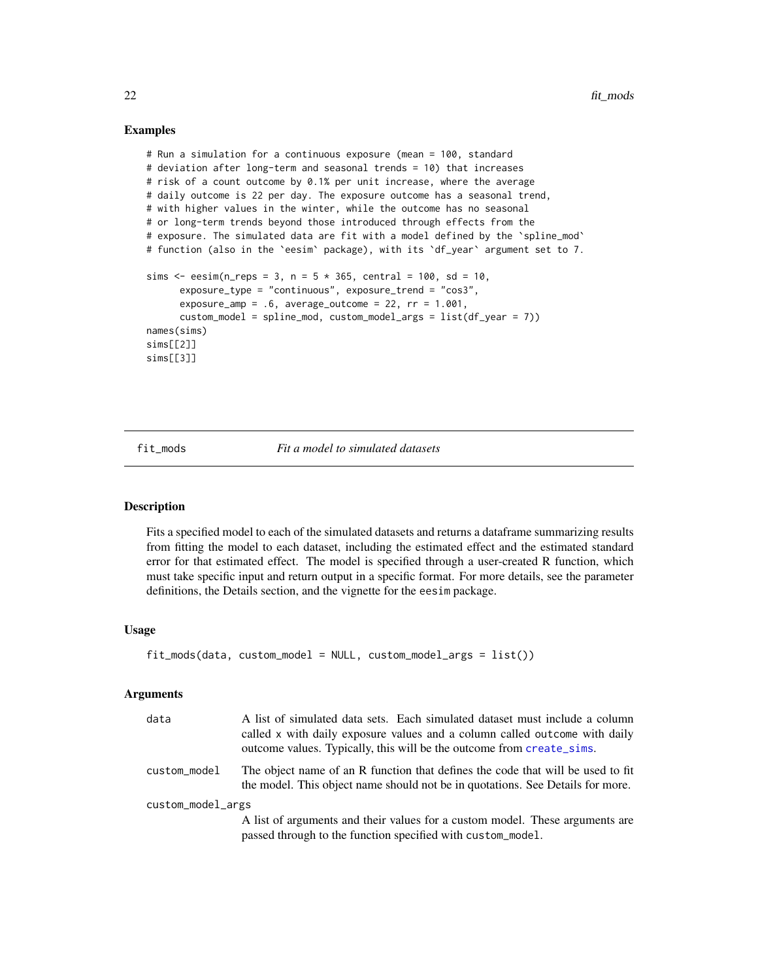#### Examples

```
# Run a simulation for a continuous exposure (mean = 100, standard
# deviation after long-term and seasonal trends = 10) that increases
# risk of a count outcome by 0.1% per unit increase, where the average
# daily outcome is 22 per day. The exposure outcome has a seasonal trend,
# with higher values in the winter, while the outcome has no seasonal
# or long-term trends beyond those introduced through effects from the
# exposure. The simulated data are fit with a model defined by the 'spline_mod'
# function (also in the `eesim` package), with its `df_year` argument set to 7.
sims \leq eesim(n_reps = 3, n = 5 * 365, central = 100, sd = 10,
      exposure_type = "continuous", exposure_trend = "cos3",
      exposure_amp = .6, average_outcome = 22, rr = 1.001,
     custom_model = spline_mod, custom_model_args = list(df_year = 7))
names(sims)
sims[[2]]
sims[[3]]
```
<span id="page-21-1"></span>fit\_mods *Fit a model to simulated datasets*

#### Description

Fits a specified model to each of the simulated datasets and returns a dataframe summarizing results from fitting the model to each dataset, including the estimated effect and the estimated standard error for that estimated effect. The model is specified through a user-created R function, which must take specific input and return output in a specific format. For more details, see the parameter definitions, the Details section, and the vignette for the eesim package.

#### Usage

```
fit_mods(data, custom_model = NULL, custom_model_args = list())
```

| data              | A list of simulated data sets. Each simulated dataset must include a column<br>called x with daily exposure values and a column called outcome with daily<br>outcome values. Typically, this will be the outcome from create_sims. |  |
|-------------------|------------------------------------------------------------------------------------------------------------------------------------------------------------------------------------------------------------------------------------|--|
| custom_model      | The object name of an R function that defines the code that will be used to fit<br>the model. This object name should not be in quotations. See Details for more.                                                                  |  |
| custom_model_args |                                                                                                                                                                                                                                    |  |
|                   | A list of arguments and their values for a custom model. These arguments are<br>passed through to the function specified with custom_model.                                                                                        |  |

<span id="page-21-0"></span>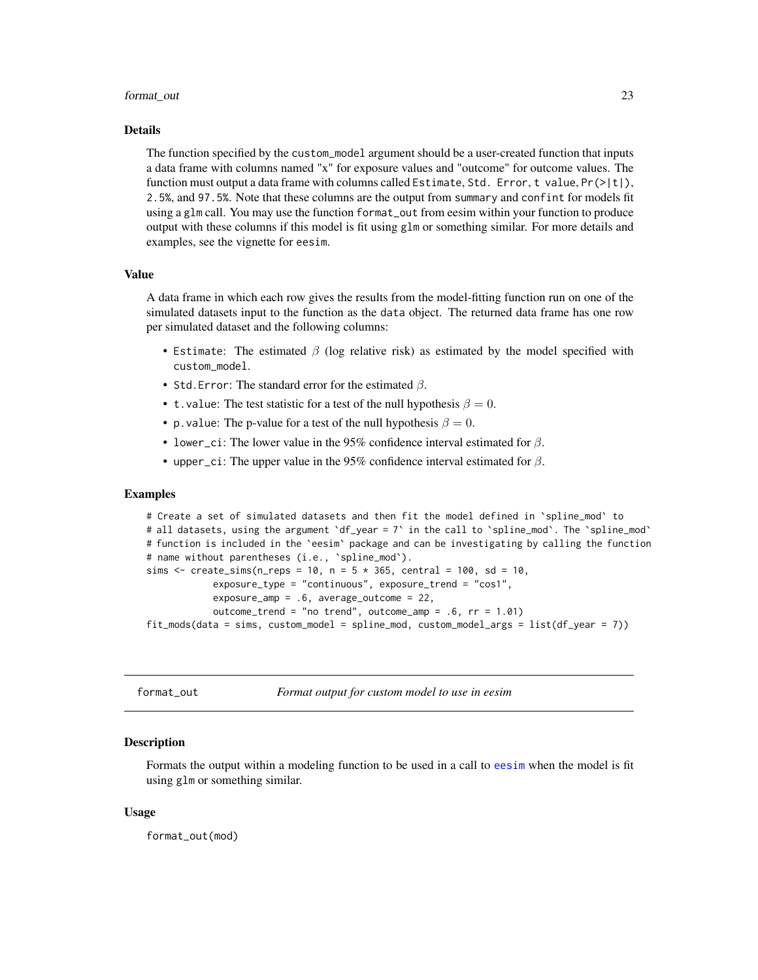#### <span id="page-22-0"></span>format\_out 23

#### Details

The function specified by the custom\_model argument should be a user-created function that inputs a data frame with columns named "x" for exposure values and "outcome" for outcome values. The function must output a data frame with columns called Estimate, Std. Error, t value,  $Pr(>\vert t \vert)$ , 2.5%, and 97.5%. Note that these columns are the output from summary and confint for models fit using a glm call. You may use the function format\_out from eesim within your function to produce output with these columns if this model is fit using glm or something similar. For more details and examples, see the vignette for eesim.

#### Value

A data frame in which each row gives the results from the model-fitting function run on one of the simulated datasets input to the function as the data object. The returned data frame has one row per simulated dataset and the following columns:

- Estimate: The estimated  $\beta$  (log relative risk) as estimated by the model specified with custom\_model.
- Std. Error: The standard error for the estimated  $\beta$ .
- t. value: The test statistic for a test of the null hypothesis  $\beta = 0$ .
- p. value: The p-value for a test of the null hypothesis  $\beta = 0$ .
- lower\_ci: The lower value in the 95% confidence interval estimated for  $\beta$ .
- upper\_ci: The upper value in the 95% confidence interval estimated for  $\beta$ .

#### Examples

```
# Create a set of simulated datasets and then fit the model defined in 'spline_mod' to
# all datasets, using the argument `df_year = 7` in the call to `spline_mod`. The `spline_mod`
# function is included in the `eesim` package and can be investigating by calling the function
# name without parentheses (i.e., `spline_mod`).
sims \le - create_sims(n_reps = 10, n = 5 * 365, central = 100, sd = 10,
            exposure_type = "continuous", exposure_trend = "cos1",
            exposure_amp = .6, average_outcome = 22,
            outcome_trend = "no trend", outcome_amp = .6, rr = 1.01)
fit_mods(data = sims, custom_model = spline_mod, custom_model_args = list(df_year = 7))
```

| ormat out <sup>.</sup> |  |
|------------------------|--|
|------------------------|--|

format\_out *Format output for custom model to use in eesim*

#### **Description**

Formats the output within a modeling function to be used in a call to [eesim](#page-18-1) when the model is fit using glm or something similar.

#### Usage

format\_out(mod)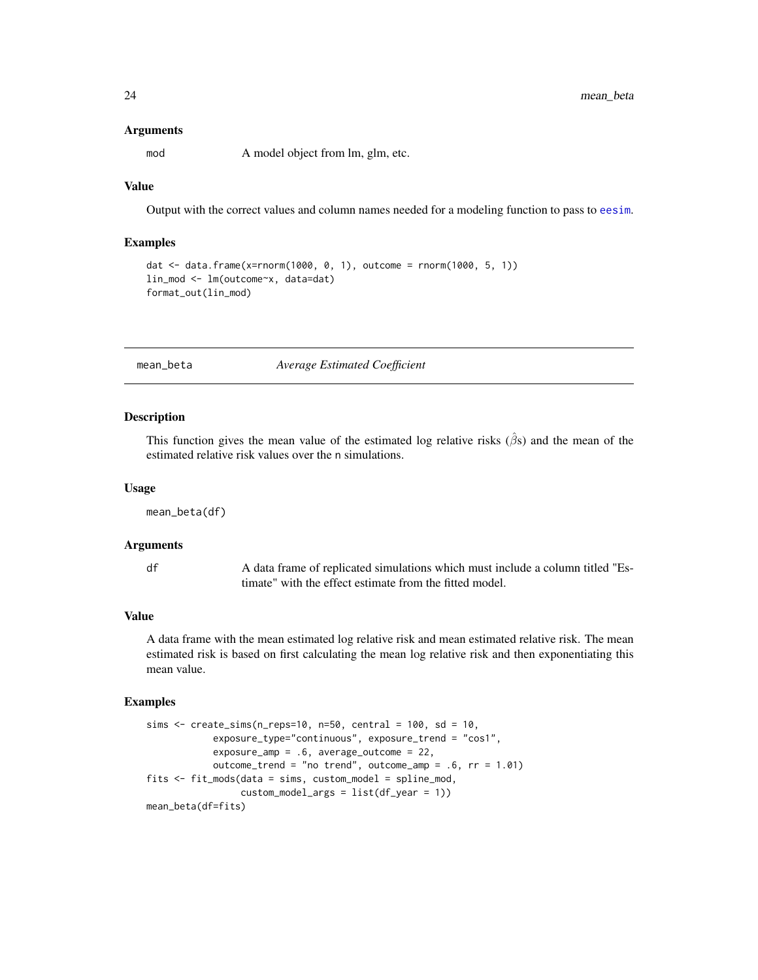#### Arguments

mod A model object from lm, glm, etc.

#### Value

Output with the correct values and column names needed for a modeling function to pass to [eesim](#page-18-1).

#### Examples

```
dat <- data.frame(x=rnorm(1000, 0, 1), outcome = rnorm(1000, 5, 1))
lin_mod <- lm(outcome~x, data=dat)
format_out(lin_mod)
```
<span id="page-23-1"></span>mean\_beta *Average Estimated Coefficient*

#### **Description**

This function gives the mean value of the estimated log relative risks  $(\hat{\beta}s)$  and the mean of the estimated relative risk values over the n simulations.

#### Usage

mean\_beta(df)

#### Arguments

df A data frame of replicated simulations which must include a column titled "Estimate" with the effect estimate from the fitted model.

#### Value

A data frame with the mean estimated log relative risk and mean estimated relative risk. The mean estimated risk is based on first calculating the mean log relative risk and then exponentiating this mean value.

```
sims \le create_sims(n_reps=10, n=50, central = 100, sd = 10,
            exposure_type="continuous", exposure_trend = "cos1",
            exposure_amp = .6, average_outcome = 22,
            outcome_trend = "no trend", outcome_amp = .6, rr = 1.01)
fits <- fit_mods(data = sims, custom_model = spline_mod,
                 custom_model_args = list(df_year = 1))
mean_beta(df=fits)
```
<span id="page-23-0"></span>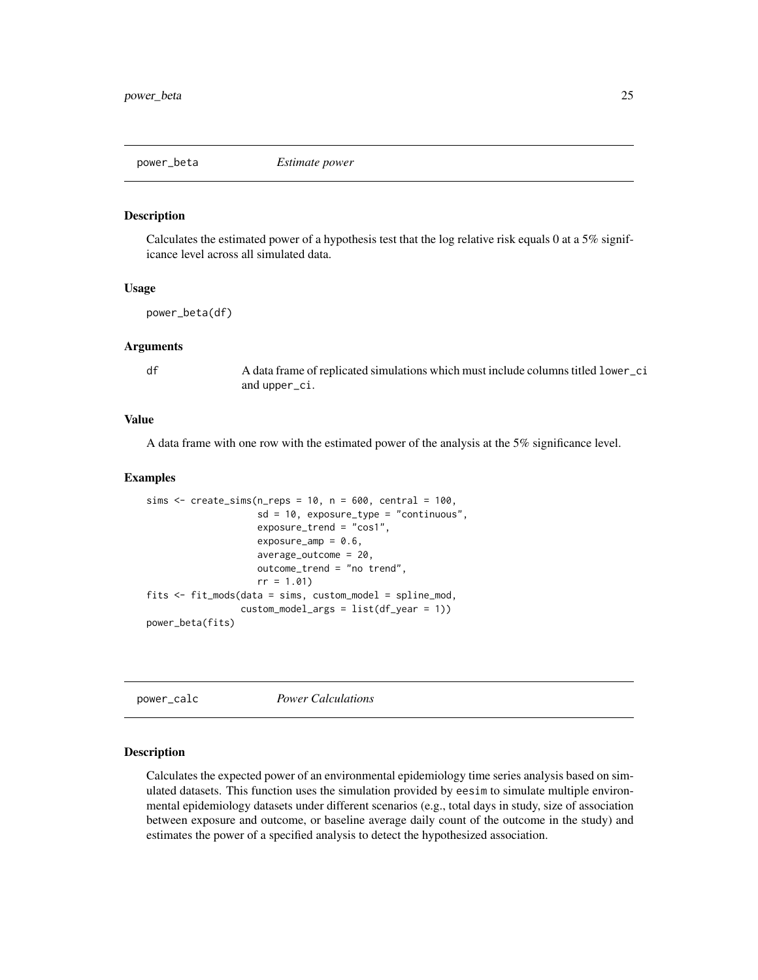<span id="page-24-1"></span><span id="page-24-0"></span>

Calculates the estimated power of a hypothesis test that the log relative risk equals 0 at a 5% significance level across all simulated data.

#### Usage

power\_beta(df)

#### Arguments

df A data frame of replicated simulations which must include columns titled lower\_ci and upper\_ci.

#### Value

A data frame with one row with the estimated power of the analysis at the 5% significance level.

#### Examples

```
sims \le create_sims(n_reps = 10, n = 600, central = 100,
                    sd = 10, exposure_type = "continuous",
                    exposure_trend = "cos1",
                    exposure\_amp = 0.6,
                    average_outcome = 20,
                    outcome_trend = "no trend",
                    rr = 1.01fits <- fit_mods(data = sims, custom_model = spline_mod,
                 custom_model_args = list(df_year = 1))
power_beta(fits)
```
<span id="page-24-2"></span>power\_calc *Power Calculations*

#### Description

Calculates the expected power of an environmental epidemiology time series analysis based on simulated datasets. This function uses the simulation provided by eesim to simulate multiple environmental epidemiology datasets under different scenarios (e.g., total days in study, size of association between exposure and outcome, or baseline average daily count of the outcome in the study) and estimates the power of a specified analysis to detect the hypothesized association.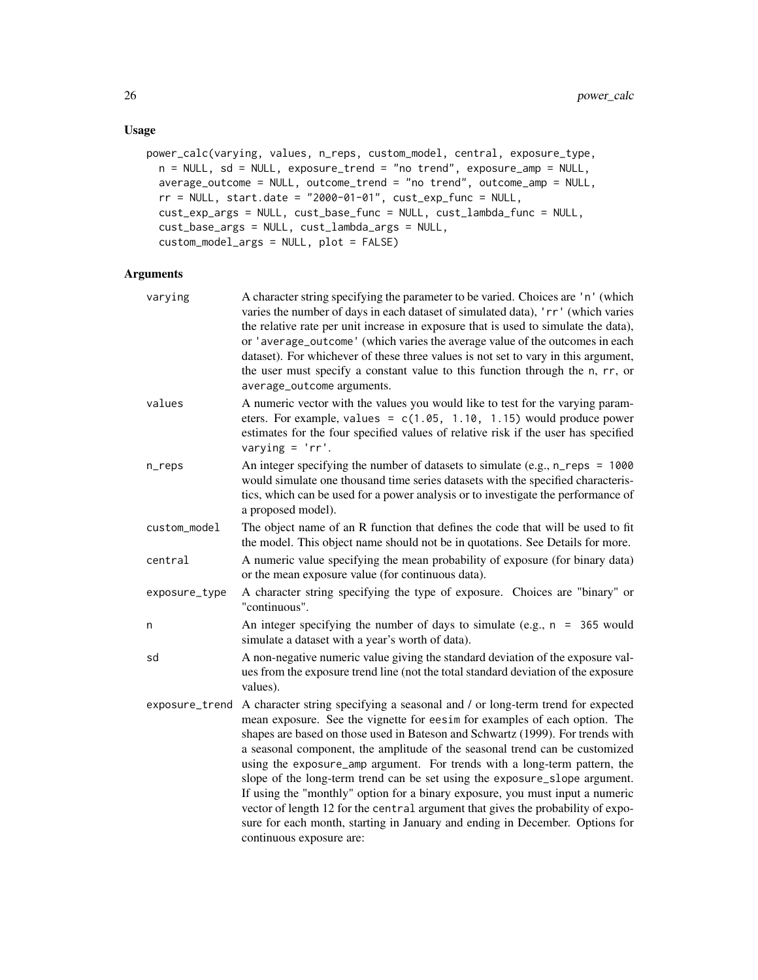### Usage

```
power_calc(varying, values, n_reps, custom_model, central, exposure_type,
 n = NULL, sd = NULL, exposure_trend = "no trend", exposure_amp = NULL,
  average_outcome = NULL, outcome_trend = "no trend", outcome_amp = NULL,
 rr = NULL, start.date = "2000-01-01", cut\_exp_func = NULL,
  cust_exp_args = NULL, cust_base_func = NULL, cust_lambda_func = NULL,
  cust_base_args = NULL, cust_lambda_args = NULL,
  custom_model_args = NULL, plot = FALSE)
```

| varying        | A character string specifying the parameter to be varied. Choices are 'n' (which<br>varies the number of days in each dataset of simulated data), 'rr' (which varies<br>the relative rate per unit increase in exposure that is used to simulate the data),<br>or 'average_outcome' (which varies the average value of the outcomes in each<br>dataset). For whichever of these three values is not set to vary in this argument,<br>the user must specify a constant value to this function through the n, rr, or<br>average_outcome arguments.                                                                                                                                                                                                                          |
|----------------|---------------------------------------------------------------------------------------------------------------------------------------------------------------------------------------------------------------------------------------------------------------------------------------------------------------------------------------------------------------------------------------------------------------------------------------------------------------------------------------------------------------------------------------------------------------------------------------------------------------------------------------------------------------------------------------------------------------------------------------------------------------------------|
| values         | A numeric vector with the values you would like to test for the varying param-<br>eters. For example, values = $c(1.05, 1.10, 1.15)$ would produce power<br>estimates for the four specified values of relative risk if the user has specified<br>varying = $'r$ .                                                                                                                                                                                                                                                                                                                                                                                                                                                                                                        |
| n_reps         | An integer specifying the number of datasets to simulate (e.g., $n_{res} = 1000$<br>would simulate one thousand time series datasets with the specified characteris-<br>tics, which can be used for a power analysis or to investigate the performance of<br>a proposed model).                                                                                                                                                                                                                                                                                                                                                                                                                                                                                           |
| custom_model   | The object name of an R function that defines the code that will be used to fit<br>the model. This object name should not be in quotations. See Details for more.                                                                                                                                                                                                                                                                                                                                                                                                                                                                                                                                                                                                         |
| central        | A numeric value specifying the mean probability of exposure (for binary data)<br>or the mean exposure value (for continuous data).                                                                                                                                                                                                                                                                                                                                                                                                                                                                                                                                                                                                                                        |
| exposure_type  | A character string specifying the type of exposure. Choices are "binary" or<br>"continuous".                                                                                                                                                                                                                                                                                                                                                                                                                                                                                                                                                                                                                                                                              |
| n              | An integer specifying the number of days to simulate (e.g., $n = 365$ would<br>simulate a dataset with a year's worth of data).                                                                                                                                                                                                                                                                                                                                                                                                                                                                                                                                                                                                                                           |
| sd             | A non-negative numeric value giving the standard deviation of the exposure val-<br>ues from the exposure trend line (not the total standard deviation of the exposure<br>values).                                                                                                                                                                                                                                                                                                                                                                                                                                                                                                                                                                                         |
| exposure_trend | A character string specifying a seasonal and / or long-term trend for expected<br>mean exposure. See the vignette for eesim for examples of each option. The<br>shapes are based on those used in Bateson and Schwartz (1999). For trends with<br>a seasonal component, the amplitude of the seasonal trend can be customized<br>using the exposure_amp argument. For trends with a long-term pattern, the<br>slope of the long-term trend can be set using the exposure_slope argument.<br>If using the "monthly" option for a binary exposure, you must input a numeric<br>vector of length 12 for the central argument that gives the probability of expo-<br>sure for each month, starting in January and ending in December. Options for<br>continuous exposure are: |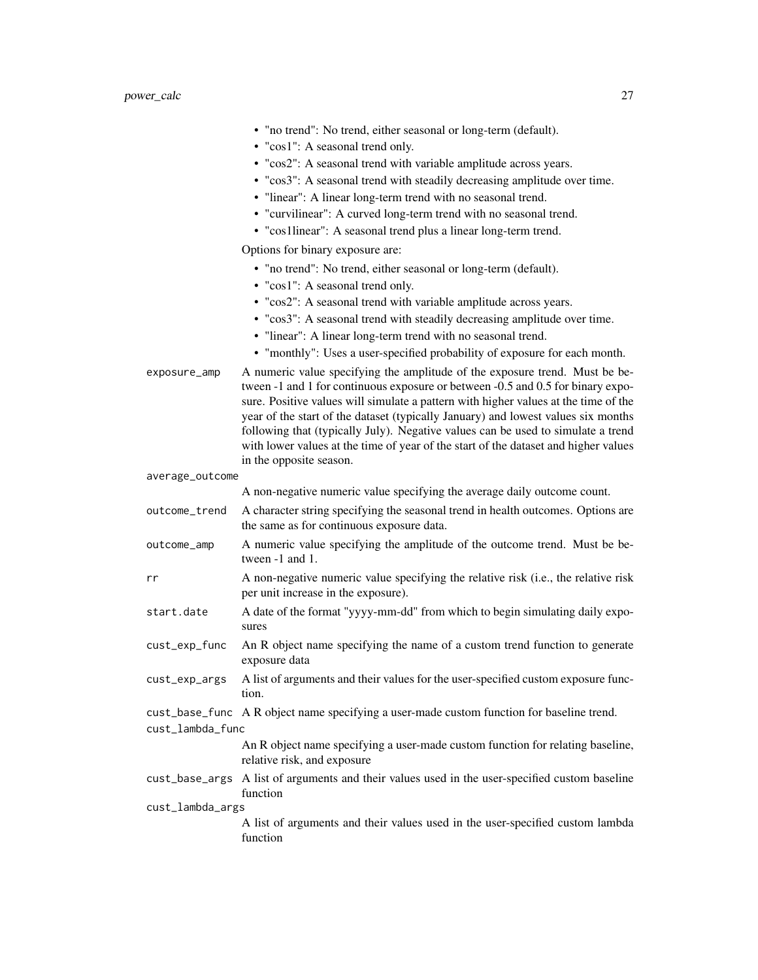|                  | • "no trend": No trend, either seasonal or long-term (default).<br>• "cos1": A seasonal trend only.<br>• "cos2": A seasonal trend with variable amplitude across years.<br>• "cos3": A seasonal trend with steadily decreasing amplitude over time.                                                                                                                                                                                                                                                                                              |
|------------------|--------------------------------------------------------------------------------------------------------------------------------------------------------------------------------------------------------------------------------------------------------------------------------------------------------------------------------------------------------------------------------------------------------------------------------------------------------------------------------------------------------------------------------------------------|
|                  | • "linear": A linear long-term trend with no seasonal trend.                                                                                                                                                                                                                                                                                                                                                                                                                                                                                     |
|                  | • "curvilinear": A curved long-term trend with no seasonal trend.                                                                                                                                                                                                                                                                                                                                                                                                                                                                                |
|                  | • "cos1linear": A seasonal trend plus a linear long-term trend.                                                                                                                                                                                                                                                                                                                                                                                                                                                                                  |
|                  | Options for binary exposure are:                                                                                                                                                                                                                                                                                                                                                                                                                                                                                                                 |
|                  | · "no trend": No trend, either seasonal or long-term (default).                                                                                                                                                                                                                                                                                                                                                                                                                                                                                  |
|                  | • "cos1": A seasonal trend only.                                                                                                                                                                                                                                                                                                                                                                                                                                                                                                                 |
|                  | • "cos2": A seasonal trend with variable amplitude across years.                                                                                                                                                                                                                                                                                                                                                                                                                                                                                 |
|                  | • "cos3": A seasonal trend with steadily decreasing amplitude over time.<br>• "linear": A linear long-term trend with no seasonal trend.                                                                                                                                                                                                                                                                                                                                                                                                         |
|                  | • "monthly": Uses a user-specified probability of exposure for each month.                                                                                                                                                                                                                                                                                                                                                                                                                                                                       |
| exposure_amp     | A numeric value specifying the amplitude of the exposure trend. Must be be-<br>tween -1 and 1 for continuous exposure or between -0.5 and 0.5 for binary expo-<br>sure. Positive values will simulate a pattern with higher values at the time of the<br>year of the start of the dataset (typically January) and lowest values six months<br>following that (typically July). Negative values can be used to simulate a trend<br>with lower values at the time of year of the start of the dataset and higher values<br>in the opposite season. |
| average_outcome  |                                                                                                                                                                                                                                                                                                                                                                                                                                                                                                                                                  |
|                  | A non-negative numeric value specifying the average daily outcome count.                                                                                                                                                                                                                                                                                                                                                                                                                                                                         |
| outcome_trend    | A character string specifying the seasonal trend in health outcomes. Options are<br>the same as for continuous exposure data.                                                                                                                                                                                                                                                                                                                                                                                                                    |
| outcome_amp      | A numeric value specifying the amplitude of the outcome trend. Must be be-<br>tween -1 and 1.                                                                                                                                                                                                                                                                                                                                                                                                                                                    |
| rr               | A non-negative numeric value specifying the relative risk (i.e., the relative risk<br>per unit increase in the exposure).                                                                                                                                                                                                                                                                                                                                                                                                                        |
| start.date       | A date of the format "yyyy-mm-dd" from which to begin simulating daily expo-<br>sures                                                                                                                                                                                                                                                                                                                                                                                                                                                            |
| cust_exp_func    | An R object name specifying the name of a custom trend function to generate<br>exposure data                                                                                                                                                                                                                                                                                                                                                                                                                                                     |
| cust_exp_args    | A list of arguments and their values for the user-specified custom exposure func-<br>tion.                                                                                                                                                                                                                                                                                                                                                                                                                                                       |
|                  | cust_base_func A R object name specifying a user-made custom function for baseline trend.                                                                                                                                                                                                                                                                                                                                                                                                                                                        |
| cust_lambda_func |                                                                                                                                                                                                                                                                                                                                                                                                                                                                                                                                                  |
|                  | An R object name specifying a user-made custom function for relating baseline,<br>relative risk, and exposure                                                                                                                                                                                                                                                                                                                                                                                                                                    |
|                  | cust_base_args A list of arguments and their values used in the user-specified custom baseline<br>function                                                                                                                                                                                                                                                                                                                                                                                                                                       |
| cust_lambda_args |                                                                                                                                                                                                                                                                                                                                                                                                                                                                                                                                                  |
|                  | A list of arguments and their values used in the user-specified custom lambda<br>function                                                                                                                                                                                                                                                                                                                                                                                                                                                        |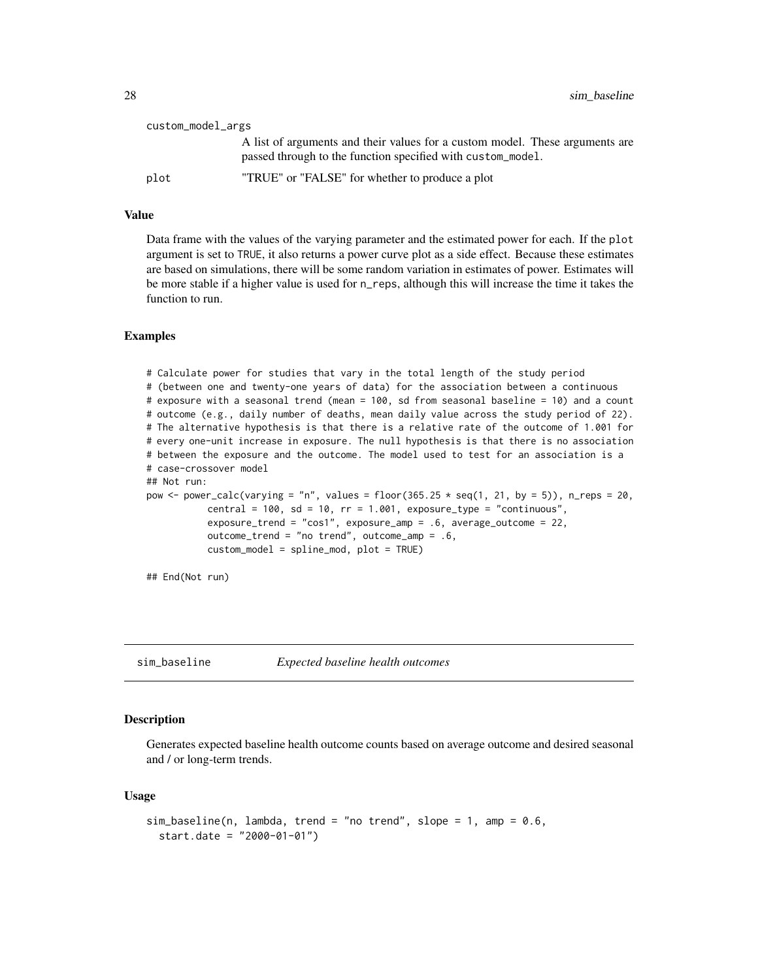<span id="page-27-0"></span>

| custom_model_args |                                                                                                                                             |  |
|-------------------|---------------------------------------------------------------------------------------------------------------------------------------------|--|
|                   | A list of arguments and their values for a custom model. These arguments are<br>passed through to the function specified with custom_model. |  |
| plot              | "TRUE" or "FALSE" for whether to produce a plot                                                                                             |  |

#### Value

Data frame with the values of the varying parameter and the estimated power for each. If the plot argument is set to TRUE, it also returns a power curve plot as a side effect. Because these estimates are based on simulations, there will be some random variation in estimates of power. Estimates will be more stable if a higher value is used for n\_reps, although this will increase the time it takes the function to run.

#### Examples

```
# Calculate power for studies that vary in the total length of the study period
# (between one and twenty-one years of data) for the association between a continuous
# exposure with a seasonal trend (mean = 100, sd from seasonal baseline = 10) and a count
# outcome (e.g., daily number of deaths, mean daily value across the study period of 22).
# The alternative hypothesis is that there is a relative rate of the outcome of 1.001 for
# every one-unit increase in exposure. The null hypothesis is that there is no association
# between the exposure and the outcome. The model used to test for an association is a
# case-crossover model
## Not run:
pow \le power_calc(varying = "n", values = floor(365.25 \star seq(1, 21, by = 5)), n_reps = 20,
           central = 100, sd = 10, rr = 1.001, exposure_type = "continuous",
           exposure_trend = "cos1", exposure_amp = .6, average_outcome = 22,
           outcome_trend = "no trend", outcome_amp = .6,
           custom_model = spline_mod, plot = TRUE)
```
## End(Not run)

sim\_baseline *Expected baseline health outcomes*

#### Description

Generates expected baseline health outcome counts based on average outcome and desired seasonal and / or long-term trends.

#### Usage

```
sim\_baseline(n, lambda, trend = "no trend", slope = 1, amp = 0.6,start.date = "2000-01-01")
```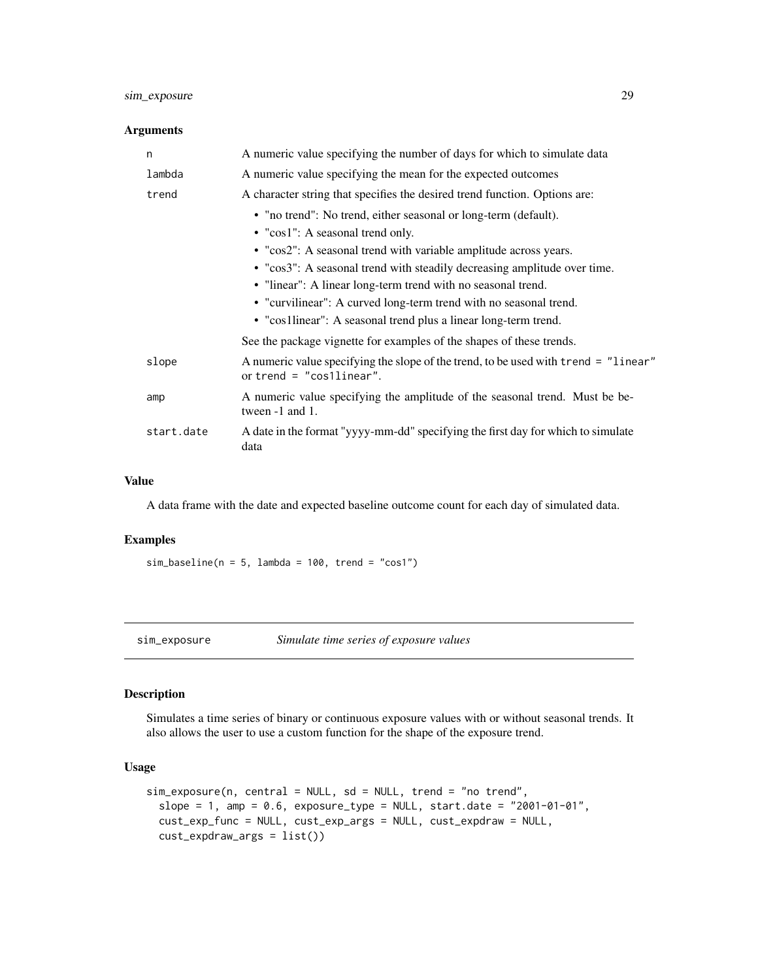#### <span id="page-28-0"></span>sim\_exposure 29

#### Arguments

| n          | A numeric value specifying the number of days for which to simulate data                                                                                                                                                                                                                                                                                                                                                                                    |
|------------|-------------------------------------------------------------------------------------------------------------------------------------------------------------------------------------------------------------------------------------------------------------------------------------------------------------------------------------------------------------------------------------------------------------------------------------------------------------|
| lambda     | A numeric value specifying the mean for the expected outcomes                                                                                                                                                                                                                                                                                                                                                                                               |
| trend      | A character string that specifies the desired trend function. Options are:                                                                                                                                                                                                                                                                                                                                                                                  |
|            | • "no trend": No trend, either seasonal or long-term (default).<br>• "cos1": A seasonal trend only.<br>• "cos2": A seasonal trend with variable amplitude across years.<br>• "cos3": A seasonal trend with steadily decreasing amplitude over time.<br>• "linear": A linear long-term trend with no seasonal trend.<br>• "curvilinear": A curved long-term trend with no seasonal trend.<br>• "cos1linear": A seasonal trend plus a linear long-term trend. |
|            | See the package vignette for examples of the shapes of these trends.                                                                                                                                                                                                                                                                                                                                                                                        |
| slope      | A numeric value specifying the slope of the trend, to be used with trend = "linear"<br>or trend $=$ "cos1linear".                                                                                                                                                                                                                                                                                                                                           |
| amp        | A numeric value specifying the amplitude of the seasonal trend. Must be be-<br>tween -1 and 1.                                                                                                                                                                                                                                                                                                                                                              |
| start.date | A date in the format "yyyy-mm-dd" specifying the first day for which to simulate<br>data                                                                                                                                                                                                                                                                                                                                                                    |

#### Value

A data frame with the date and expected baseline outcome count for each day of simulated data.

#### Examples

 $sim\_baseline(n = 5, lambda = 100, trend = "cos1")$ 

<span id="page-28-1"></span>sim\_exposure *Simulate time series of exposure values*

#### Description

Simulates a time series of binary or continuous exposure values with or without seasonal trends. It also allows the user to use a custom function for the shape of the exposure trend.

#### Usage

```
sim_exposure(n, central = NULL, sd = NULL, trend = "no trend",
  slope = 1, amp = 0.6, exposure_type = NULL, start.date = "2001-01-01",
  cust_exp_func = NULL, cust_exp_args = NULL, cust_expdraw = NULL,
  cust_expdraw_args = list())
```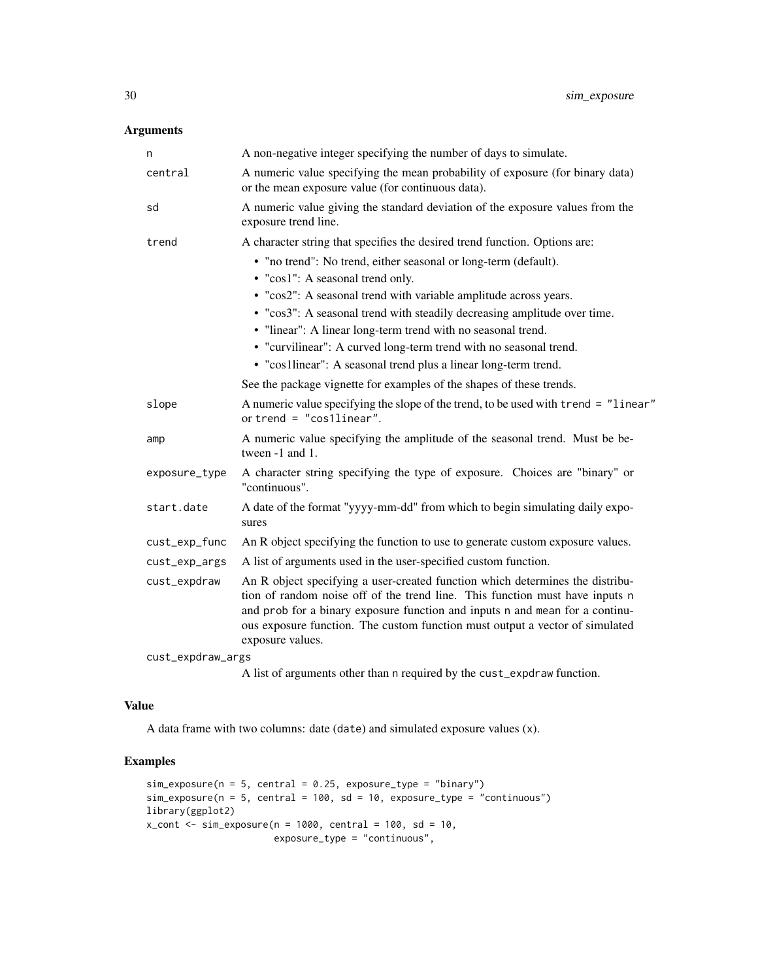#### Arguments

| n                 | A non-negative integer specifying the number of days to simulate.                                                                                                                                                                                                                                                                                 |  |
|-------------------|---------------------------------------------------------------------------------------------------------------------------------------------------------------------------------------------------------------------------------------------------------------------------------------------------------------------------------------------------|--|
| central           | A numeric value specifying the mean probability of exposure (for binary data)<br>or the mean exposure value (for continuous data).                                                                                                                                                                                                                |  |
| sd                | A numeric value giving the standard deviation of the exposure values from the<br>exposure trend line.                                                                                                                                                                                                                                             |  |
| trend             | A character string that specifies the desired trend function. Options are:                                                                                                                                                                                                                                                                        |  |
|                   | • "no trend": No trend, either seasonal or long-term (default).                                                                                                                                                                                                                                                                                   |  |
|                   | • "cos1": A seasonal trend only.                                                                                                                                                                                                                                                                                                                  |  |
|                   | • "cos2": A seasonal trend with variable amplitude across years.                                                                                                                                                                                                                                                                                  |  |
|                   | • "cos3": A seasonal trend with steadily decreasing amplitude over time.                                                                                                                                                                                                                                                                          |  |
|                   | • "linear": A linear long-term trend with no seasonal trend.                                                                                                                                                                                                                                                                                      |  |
|                   | • "curvilinear": A curved long-term trend with no seasonal trend.                                                                                                                                                                                                                                                                                 |  |
|                   | • "cos1linear": A seasonal trend plus a linear long-term trend.                                                                                                                                                                                                                                                                                   |  |
|                   | See the package vignette for examples of the shapes of these trends.                                                                                                                                                                                                                                                                              |  |
| slope             | A numeric value specifying the slope of the trend, to be used with trend = "linear"<br>or trend = $"cos1linear".$                                                                                                                                                                                                                                 |  |
| amp               | A numeric value specifying the amplitude of the seasonal trend. Must be be-<br>tween -1 and 1.                                                                                                                                                                                                                                                    |  |
| exposure_type     | A character string specifying the type of exposure. Choices are "binary" or<br>"continuous".                                                                                                                                                                                                                                                      |  |
| start.date        | A date of the format "yyyy-mm-dd" from which to begin simulating daily expo-<br>sures                                                                                                                                                                                                                                                             |  |
| cust_exp_func     | An R object specifying the function to use to generate custom exposure values.                                                                                                                                                                                                                                                                    |  |
| cust_exp_args     | A list of arguments used in the user-specified custom function.                                                                                                                                                                                                                                                                                   |  |
| cust_expdraw      | An R object specifying a user-created function which determines the distribu-<br>tion of random noise off of the trend line. This function must have inputs n<br>and prob for a binary exposure function and inputs n and mean for a continu-<br>ous exposure function. The custom function must output a vector of simulated<br>exposure values. |  |
| cust_expdraw_args |                                                                                                                                                                                                                                                                                                                                                   |  |
|                   | A $\mathbf{1}$ the substitution of the state of the state of $\mathbf{1}$ to state the state of the state of the state                                                                                                                                                                                                                            |  |

A list of arguments other than n required by the cust\_expdraw function.

#### Value

A data frame with two columns: date (date) and simulated exposure values (x).

```
sim\_exposure(n = 5, central = 0.25, exposure\_type = "binary")sim\_exposure(n = 5, central = 100, sd = 10, exposure\_type = "continuous")library(ggplot2)
x_{\text{cont}} < -\sin_{\text{exp}}\cos(\theta) = 1000, central = 100, sd = 10,
                         exposure_type = "continuous",
```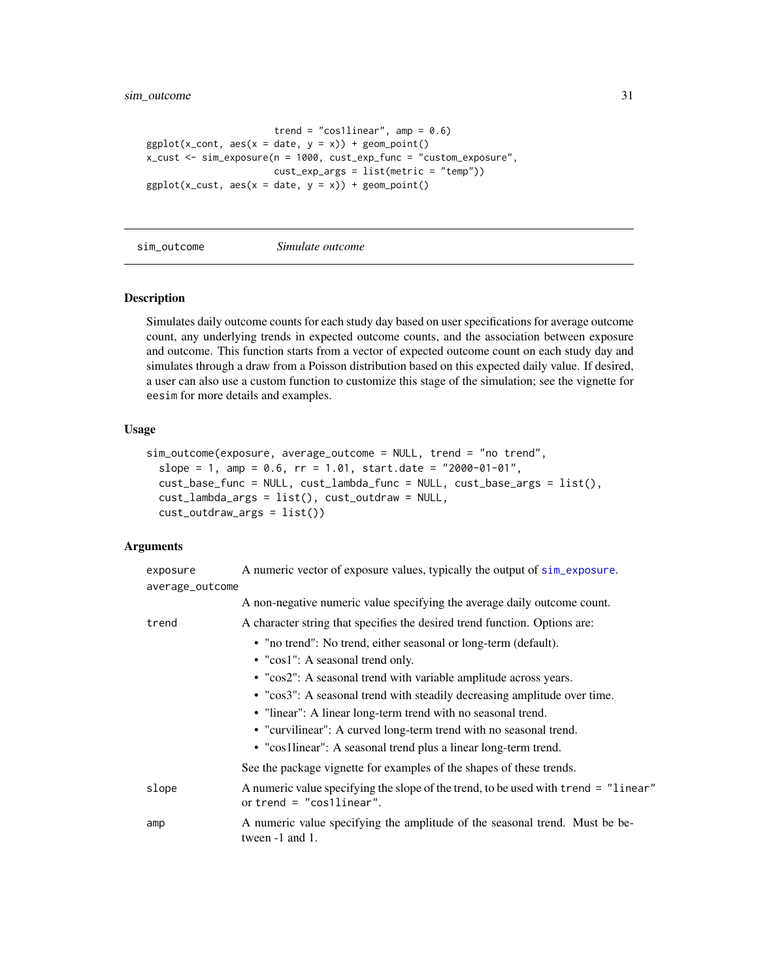```
trend = "cos1linear", amp = 0.6)
ggplot(x_count, aes(x = date, y = x)) + geom-point()x_cust <- sim_exposure(n = 1000, cust_exp_func = "custom_exposure",
                       cust_exp_args = list(metric = "temp"))
ggplot(x_cust, aes(x = date, y = x)) + geom-point()
```
#### sim\_outcome *Simulate outcome*

#### Description

Simulates daily outcome counts for each study day based on user specifications for average outcome count, any underlying trends in expected outcome counts, and the association between exposure and outcome. This function starts from a vector of expected outcome count on each study day and simulates through a draw from a Poisson distribution based on this expected daily value. If desired, a user can also use a custom function to customize this stage of the simulation; see the vignette for eesim for more details and examples.

#### Usage

```
sim_outcome(exposure, average_outcome = NULL, trend = "no trend",
  slope = 1, amp = 0.6, rr = 1.01, start.date = "2000-01-01",
  cust_base_func = NULL, cust_lambda_func = NULL, cust_base_args = list(),
 cust_lambda_args = list(), cust_outdraw = NULL,
 cust_outdraw_args = list())
```

| exposure        | A numeric vector of exposure values, typically the output of sim_exposure.                                        |
|-----------------|-------------------------------------------------------------------------------------------------------------------|
| average_outcome |                                                                                                                   |
|                 | A non-negative numeric value specifying the average daily outcome count.                                          |
| trend           | A character string that specifies the desired trend function. Options are:                                        |
|                 | • "no trend": No trend, either seasonal or long-term (default).                                                   |
|                 | • "cos1": A seasonal trend only.                                                                                  |
|                 | • "cos2": A seasonal trend with variable amplitude across years.                                                  |
|                 | • "cos3": A seasonal trend with steadily decreasing amplitude over time.                                          |
|                 | • "linear": A linear long-term trend with no seasonal trend.                                                      |
|                 | • "curvilinear": A curved long-term trend with no seasonal trend.                                                 |
|                 | • "cos1linear": A seasonal trend plus a linear long-term trend.                                                   |
|                 | See the package vignette for examples of the shapes of these trends.                                              |
| slope           | A numeric value specifying the slope of the trend, to be used with trend = "linear"<br>or trend $=$ "cos1linear". |
| amp             | A numeric value specifying the amplitude of the seasonal trend. Must be be-<br>tween $-1$ and $1$ .               |
|                 |                                                                                                                   |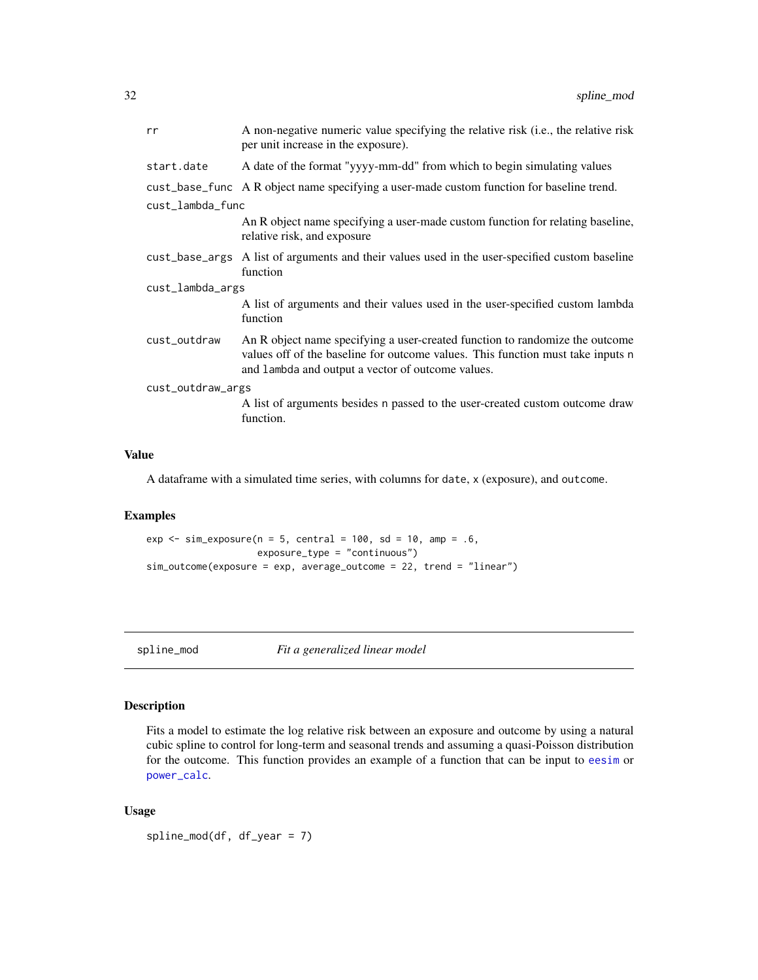<span id="page-31-0"></span>

| rr                | A non-negative numeric value specifying the relative risk (i.e., the relative risk<br>per unit increase in the exposure).                                                                                            |  |
|-------------------|----------------------------------------------------------------------------------------------------------------------------------------------------------------------------------------------------------------------|--|
| start.date        | A date of the format "yyyy-mm-dd" from which to begin simulating values                                                                                                                                              |  |
|                   | cust_base_func A R object name specifying a user-made custom function for baseline trend.                                                                                                                            |  |
| cust_lambda_func  |                                                                                                                                                                                                                      |  |
|                   | An R object name specifying a user-made custom function for relating baseline,<br>relative risk, and exposure                                                                                                        |  |
|                   | cust_base_args A list of arguments and their values used in the user-specified custom baseline<br>function                                                                                                           |  |
| cust_lambda_args  |                                                                                                                                                                                                                      |  |
|                   | A list of arguments and their values used in the user-specified custom lambda<br>function                                                                                                                            |  |
| cust_outdraw      | An R object name specifying a user-created function to randomize the outcome<br>values off of the baseline for outcome values. This function must take inputs n<br>and lambda and output a vector of outcome values. |  |
| cust_outdraw_args |                                                                                                                                                                                                                      |  |
|                   | A list of arguments besides n passed to the user-created custom outcome draw<br>function.                                                                                                                            |  |

#### Value

A dataframe with a simulated time series, with columns for date, x (exposure), and outcome.

#### Examples

 $exp \le -\sin\left(\frac{1}{2}\right)$  = 5, central = 100, sd = 10, amp = .6, exposure\_type = "continuous") sim\_outcome(exposure = exp, average\_outcome = 22, trend = "linear")

spline\_mod *Fit a generalized linear model*

#### Description

Fits a model to estimate the log relative risk between an exposure and outcome by using a natural cubic spline to control for long-term and seasonal trends and assuming a quasi-Poisson distribution for the outcome. This function provides an example of a function that can be input to [eesim](#page-18-1) or [power\\_calc](#page-24-2).

#### Usage

spline\_mod(df, df\_year = 7)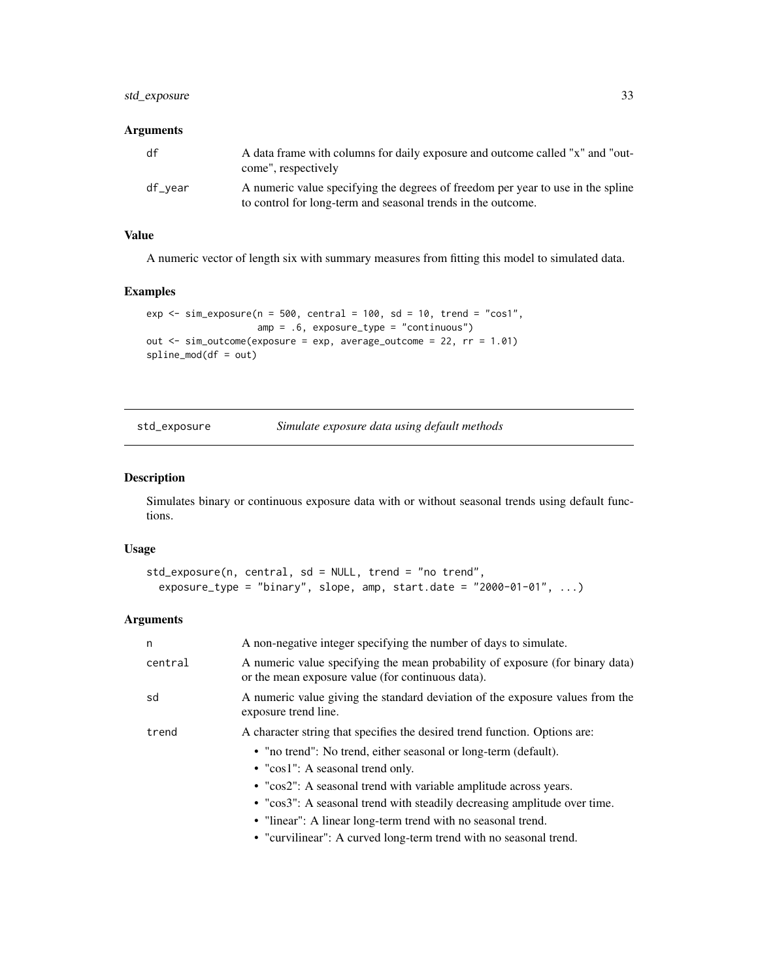#### <span id="page-32-0"></span>std\_exposure 33

#### Arguments

| df      | A data frame with columns for daily exposure and outcome called "x" and "out-<br>come", respectively                                            |
|---------|-------------------------------------------------------------------------------------------------------------------------------------------------|
| df_vear | A numeric value specifying the degrees of freedom per year to use in the spline<br>to control for long-term and seasonal trends in the outcome. |

#### Value

A numeric vector of length six with summary measures from fitting this model to simulated data.

#### Examples

```
exp \le sim_exposure(n = 500, central = 100, sd = 10, trend = "cos1",
                   amp = .6, exposure_type = "continuous")
out <- sim_outcome(exposure = exp, average_outcome = 22, rr = 1.01)
spline_mod(df = out)
```
std\_exposure *Simulate exposure data using default methods*

#### Description

Simulates binary or continuous exposure data with or without seasonal trends using default functions.

#### Usage

```
std_exposure(n, central, sd = NULL, trend = "no trend",
 exposure_type = "binary", slope, amp, start.data = "2000-01-01", ...)
```

| n       | A non-negative integer specifying the number of days to simulate.                                                                  |
|---------|------------------------------------------------------------------------------------------------------------------------------------|
| central | A numeric value specifying the mean probability of exposure (for binary data)<br>or the mean exposure value (for continuous data). |
| sd      | A numeric value giving the standard deviation of the exposure values from the<br>exposure trend line.                              |
| trend   | A character string that specifies the desired trend function. Options are:                                                         |
|         | • "no trend": No trend, either seasonal or long-term (default).                                                                    |
|         | • " $\cos 1$ ": A seasonal trend only.                                                                                             |
|         | • "cos2": A seasonal trend with variable amplitude across years.                                                                   |
|         | • "cos3": A seasonal trend with steadily decreasing amplitude over time.                                                           |
|         | • "linear": A linear long-term trend with no seasonal trend.                                                                       |
|         | • "curvilinear": A curved long-term trend with no seasonal trend.                                                                  |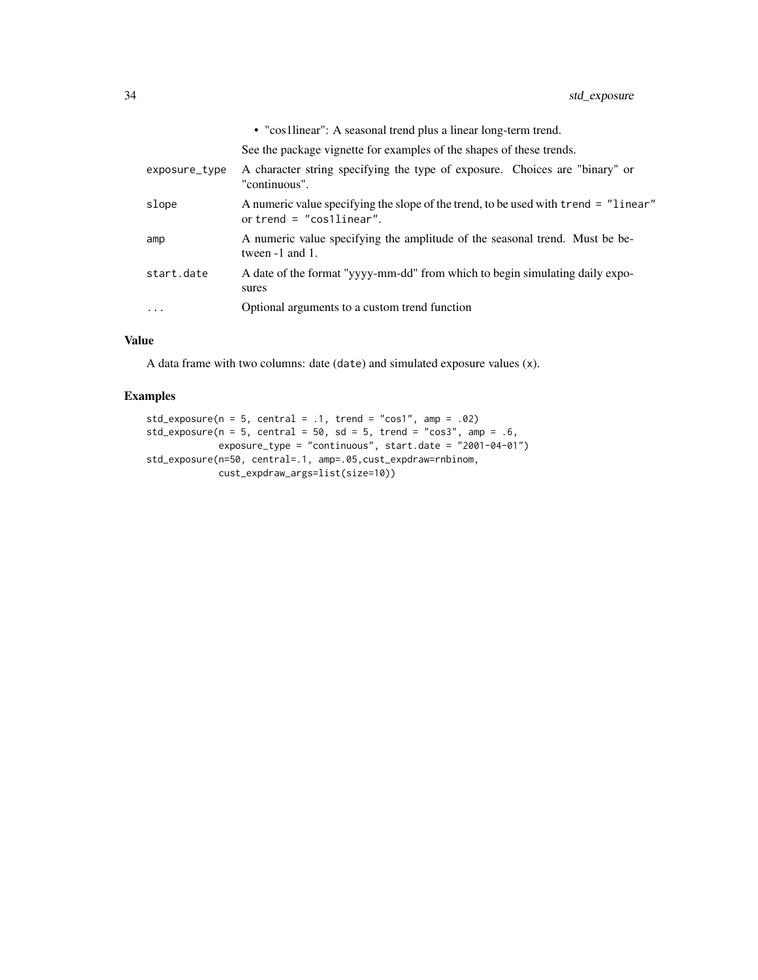|               | • "cos1linear": A seasonal trend plus a linear long-term trend.                                                   |
|---------------|-------------------------------------------------------------------------------------------------------------------|
|               | See the package vignette for examples of the shapes of these trends.                                              |
| exposure_type | A character string specifying the type of exposure. Choices are "binary" or<br>"continuous".                      |
| slope         | A numeric value specifying the slope of the trend, to be used with trend = "linear"<br>or trend $=$ "cosllinear". |
| amp           | A numeric value specifying the amplitude of the seasonal trend. Must be be-<br>tween $-1$ and $1$ .               |
| start.date    | A date of the format "yyyy-mm-dd" from which to begin simulating daily expo-<br>sures                             |
| $\cdots$      | Optional arguments to a custom trend function                                                                     |
|               |                                                                                                                   |

#### Value

A data frame with two columns: date (date) and simulated exposure values (x).

```
std_exposure(n = 5, central = .1, trend = "cos1", amp = .02)
std_exposure(n = 5, central = 50, sd = 5, trend = "cos3", amp = .6,
            exposure_type = "continuous", start.date = "2001-04-01")
std_exposure(n=50, central=.1, amp=.05,cust_expdraw=rnbinom,
            cust_expdraw_args=list(size=10))
```